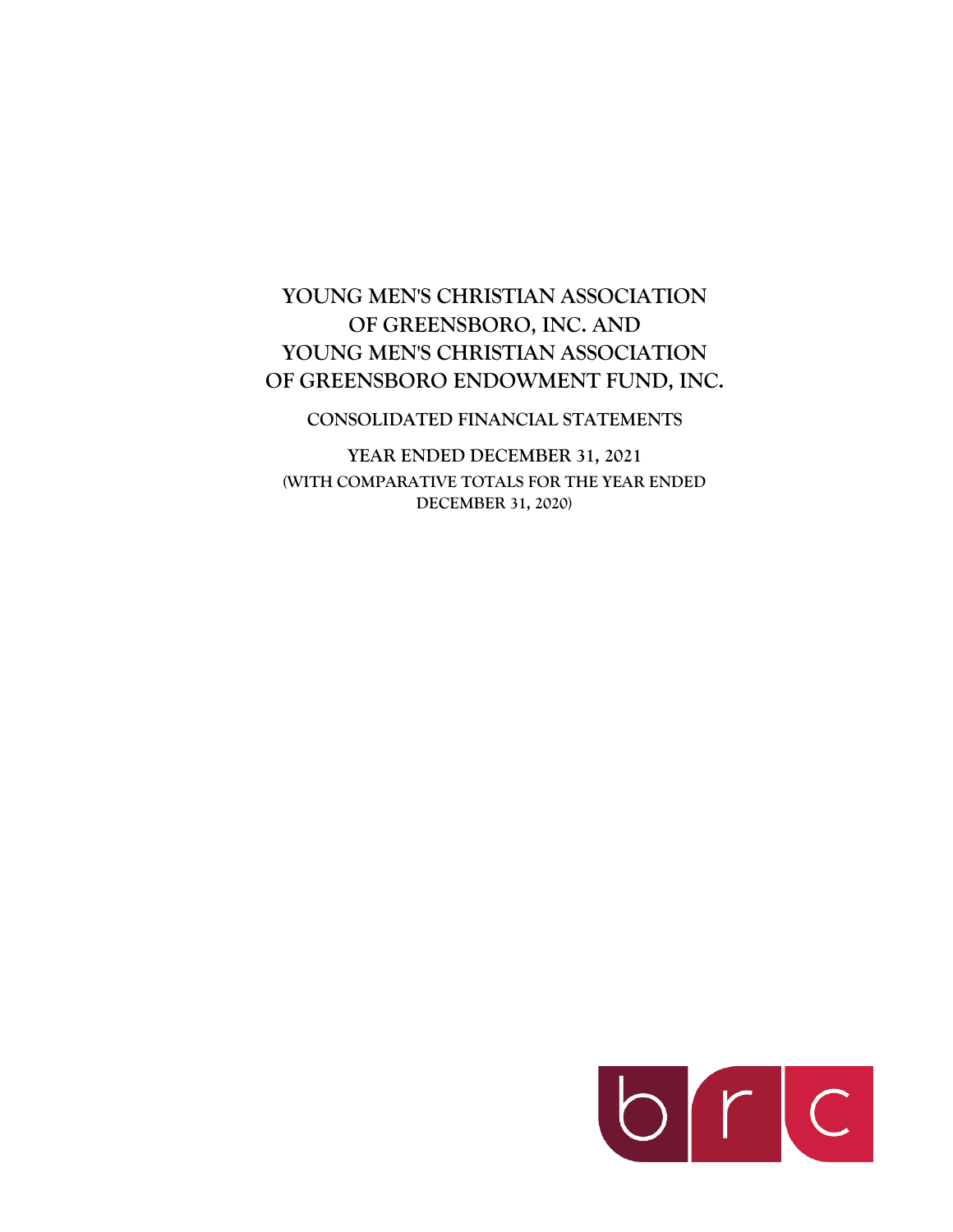# **YOUNG MEN'S CHRISTIAN ASSOCIATION OF GREENSBORO, INC. AND YOUNG MEN'S CHRISTIAN ASSOCIATION OF GREENSBORO ENDOWMENT FUND, INC.**

### **CONSOLIDATED FINANCIAL STATEMENTS**

**YEAR ENDED DECEMBER 31, 2021 (WITH COMPARATIVE TOTALS FOR THE YEAR ENDED DECEMBER 31, 2020)**

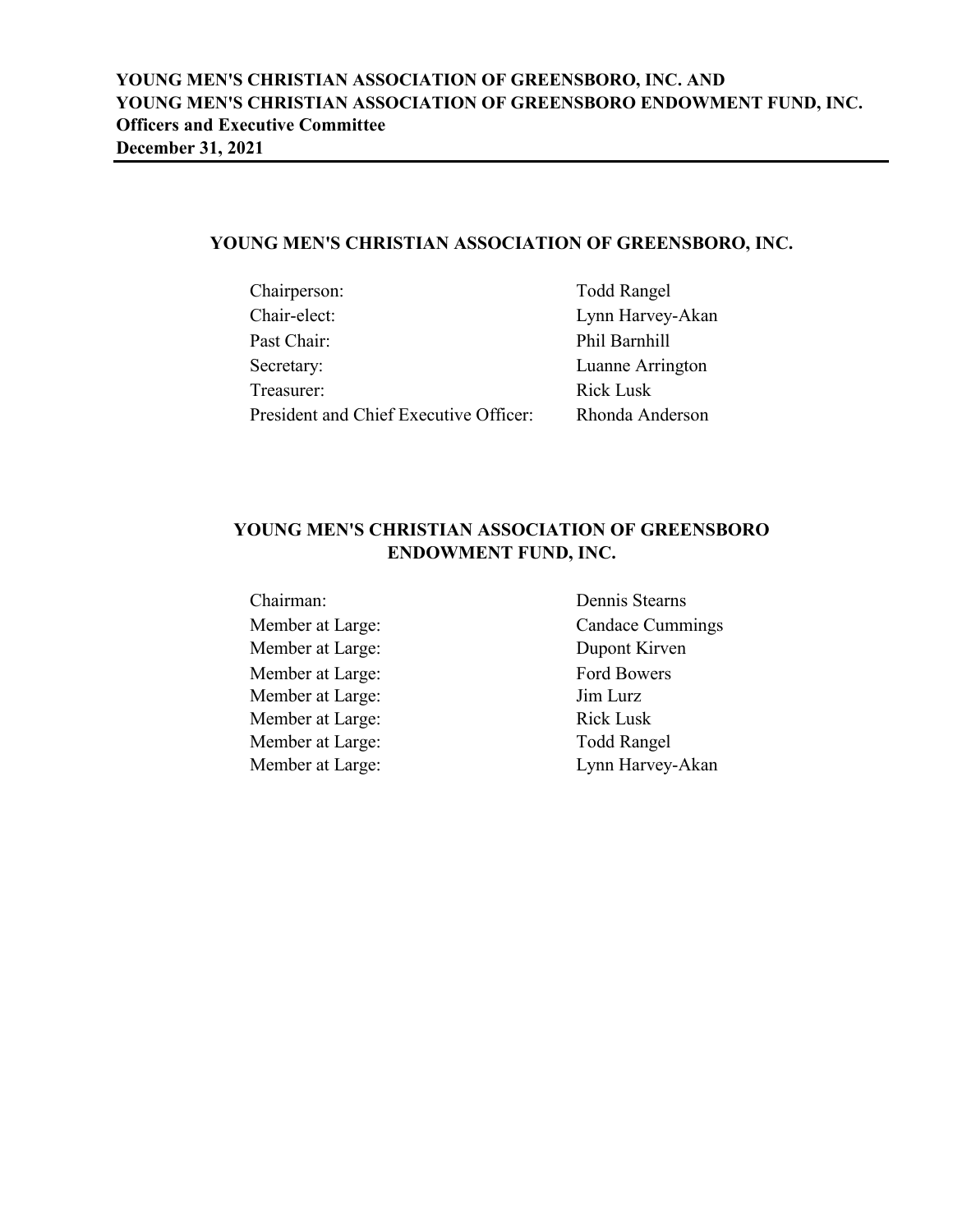# **YOUNG MEN'S CHRISTIAN ASSOCIATION OF GREENSBORO, INC.**

| Chairperson:                           | <b>Todd Rangel</b> |
|----------------------------------------|--------------------|
| Chair-elect:                           | Lynn Harvey-Akan   |
| Past Chair:                            | Phil Barnhill      |
| Secretary:                             | Luanne Arrington   |
| Treasurer:                             | <b>Rick Lusk</b>   |
| President and Chief Executive Officer: | Rhonda Anderson    |

# **YOUNG MEN'S CHRISTIAN ASSOCIATION OF GREENSBORO ENDOWMENT FUND, INC.**

Member at Large: Dupont Kirven Member at Large: Ford Bowers Member at Large: Jim Lurz Member at Large: Rick Lusk Member at Large: Todd Rangel

Chairman: Dennis Stearns Member at Large: Candace Cummings Member at Large: Lynn Harvey-Akan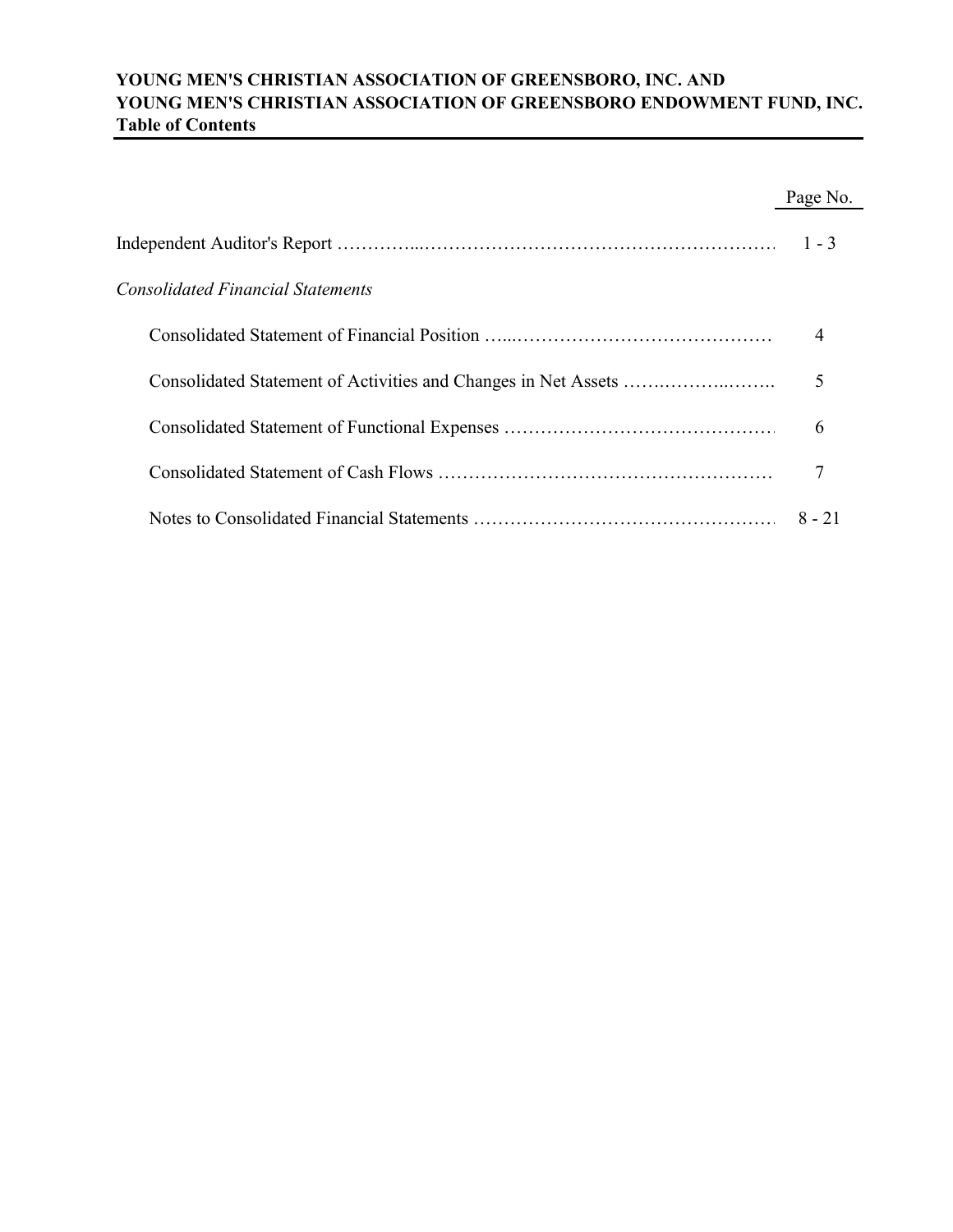# **YOUNG MEN'S CHRISTIAN ASSOCIATION OF GREENSBORO, INC. AND YOUNG MEN'S CHRISTIAN ASSOCIATION OF GREENSBORO ENDOWMENT FUND, INC. Table of Contents**

|                                   | Page No.       |
|-----------------------------------|----------------|
|                                   | $1 - 3$        |
| Consolidated Financial Statements |                |
|                                   | $\overline{4}$ |
|                                   | 5              |
|                                   | 6              |
|                                   |                |
|                                   | $8 - 21$       |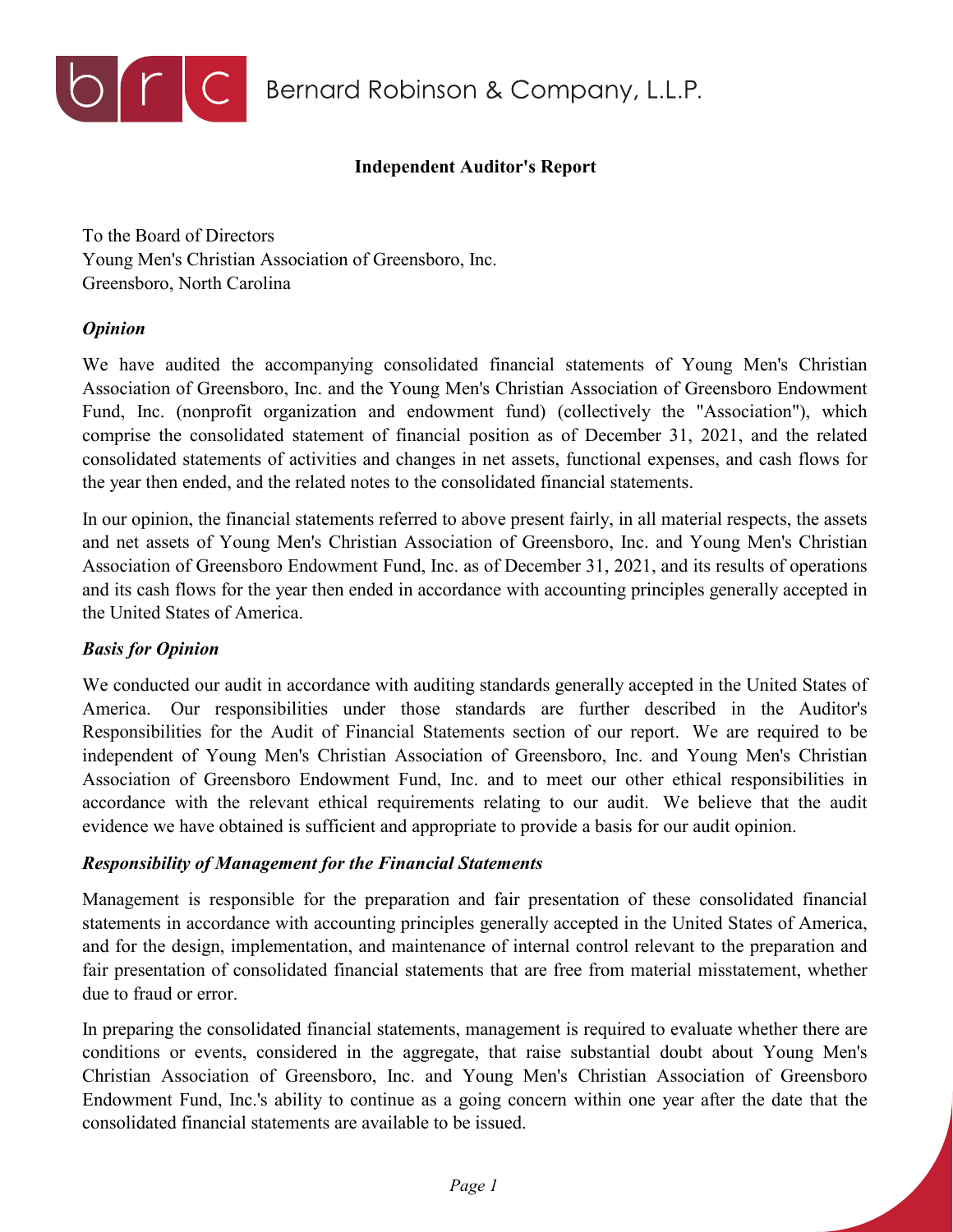

# **Independent Auditor's Report**

To the Board of Directors Young Men's Christian Association of Greensboro, Inc. Greensboro, North Carolina

# *Opinion*

We have audited the accompanying consolidated financial statements of Young Men's Christian Association of Greensboro, Inc. and the Young Men's Christian Association of Greensboro Endowment Fund, Inc. (nonprofit organization and endowment fund) (collectively the "Association"), which comprise the consolidated statement of financial position as of December 31, 2021, and the related consolidated statements of activities and changes in net assets, functional expenses, and cash flows for the year then ended, and the related notes to the consolidated financial statements.

In our opinion, the financial statements referred to above present fairly, in all material respects, the assets and net assets of Young Men's Christian Association of Greensboro, Inc. and Young Men's Christian Association of Greensboro Endowment Fund, Inc. as of December 31, 2021, and its results of operations and its cash flows for the year then ended in accordance with accounting principles generally accepted in the United States of America.

# *Basis for Opinion*

We conducted our audit in accordance with auditing standards generally accepted in the United States of America. Our responsibilities under those standards are further described in the Auditor's Responsibilities for the Audit of Financial Statements section of our report. We are required to be independent of Young Men's Christian Association of Greensboro, Inc. and Young Men's Christian Association of Greensboro Endowment Fund, Inc. and to meet our other ethical responsibilities in accordance with the relevant ethical requirements relating to our audit. We believe that the audit evidence we have obtained is sufficient and appropriate to provide a basis for our audit opinion.

# *Responsibility of Management for the Financial Statements*

Management is responsible for the preparation and fair presentation of these consolidated financial statements in accordance with accounting principles generally accepted in the United States of America, and for the design, implementation, and maintenance of internal control relevant to the preparation and fair presentation of consolidated financial statements that are free from material misstatement, whether due to fraud or error.

In preparing the consolidated financial statements, management is required to evaluate whether there are conditions or events, considered in the aggregate, that raise substantial doubt about Young Men's Christian Association of Greensboro, Inc. and Young Men's Christian Association of Greensboro Endowment Fund, Inc.'s ability to continue as a going concern within one year after the date that the consolidated financial statements are available to be issued.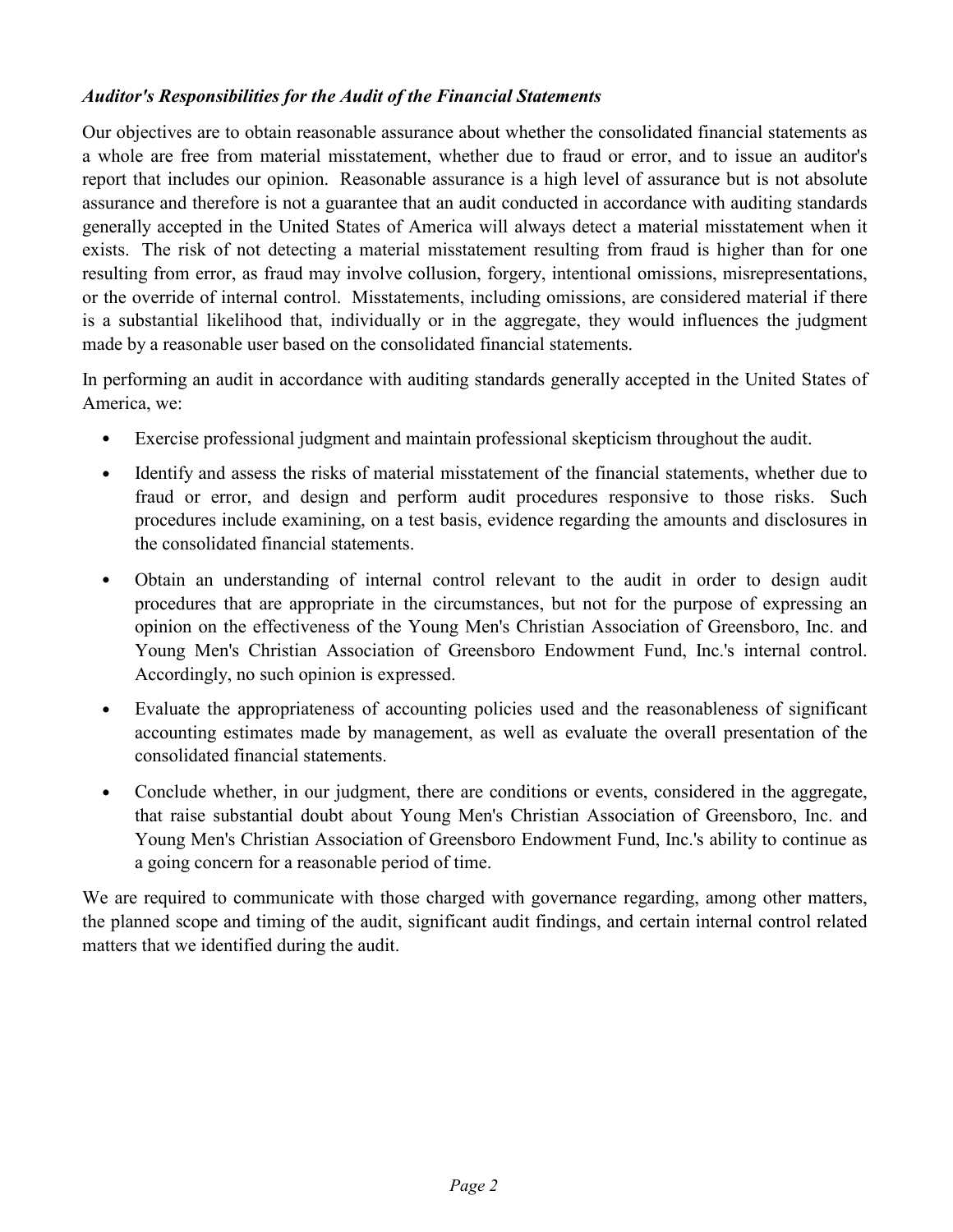# *Auditor's Responsibilities for the Audit of the Financial Statements*

Our objectives are to obtain reasonable assurance about whether the consolidated financial statements as a whole are free from material misstatement, whether due to fraud or error, and to issue an auditor's report that includes our opinion. Reasonable assurance is a high level of assurance but is not absolute assurance and therefore is not a guarantee that an audit conducted in accordance with auditing standards generally accepted in the United States of America will always detect a material misstatement when it exists. The risk of not detecting a material misstatement resulting from fraud is higher than for one resulting from error, as fraud may involve collusion, forgery, intentional omissions, misrepresentations, or the override of internal control. Misstatements, including omissions, are considered material if there is a substantial likelihood that, individually or in the aggregate, they would influences the judgment made by a reasonable user based on the consolidated financial statements.

In performing an audit in accordance with auditing standards generally accepted in the United States of America, we:

- Exercise professional judgment and maintain professional skepticism throughout the audit.
- Identify and assess the risks of material misstatement of the financial statements, whether due to fraud or error, and design and perform audit procedures responsive to those risks. Such procedures include examining, on a test basis, evidence regarding the amounts and disclosures in the consolidated financial statements.
- Obtain an understanding of internal control relevant to the audit in order to design audit procedures that are appropriate in the circumstances, but not for the purpose of expressing an opinion on the effectiveness of the Young Men's Christian Association of Greensboro, Inc. and Young Men's Christian Association of Greensboro Endowment Fund, Inc.'s internal control. Accordingly, no such opinion is expressed.
- Evaluate the appropriateness of accounting policies used and the reasonableness of significant accounting estimates made by management, as well as evaluate the overall presentation of the consolidated financial statements.
- Conclude whether, in our judgment, there are conditions or events, considered in the aggregate, that raise substantial doubt about Young Men's Christian Association of Greensboro, Inc. and Young Men's Christian Association of Greensboro Endowment Fund, Inc.'s ability to continue as a going concern for a reasonable period of time.

We are required to communicate with those charged with governance regarding, among other matters, the planned scope and timing of the audit, significant audit findings, and certain internal control related matters that we identified during the audit.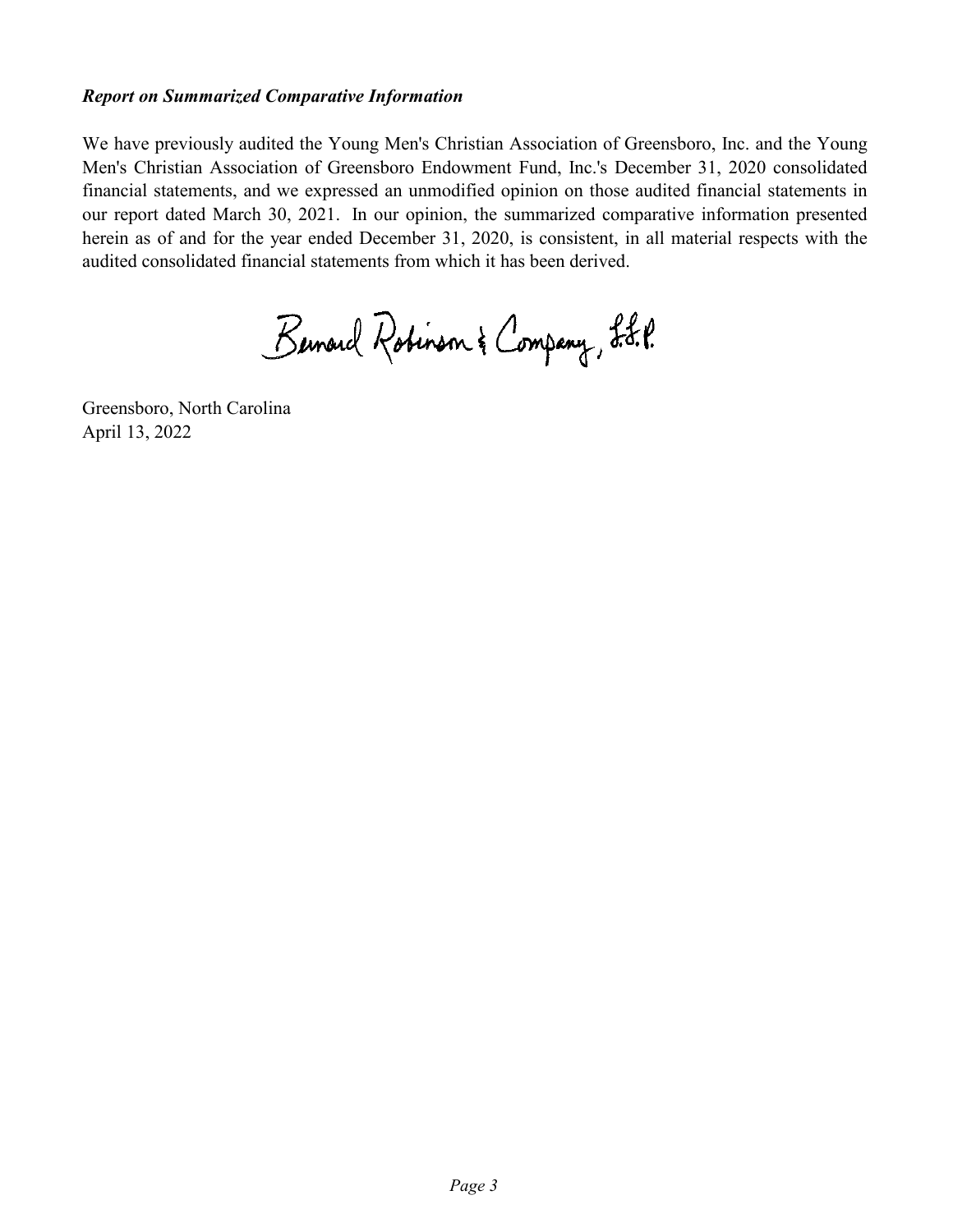## *Report on Summarized Comparative Information*

We have previously audited the Young Men's Christian Association of Greensboro, Inc. and the Young Men's Christian Association of Greensboro Endowment Fund, Inc.'s December 31, 2020 consolidated financial statements, and we expressed an unmodified opinion on those audited financial statements in our report dated March 30, 2021. In our opinion, the summarized comparative information presented herein as of and for the year ended December 31, 2020, is consistent, in all material respects with the audited consolidated financial statements from which it has been derived.

Bernard Robinson & Company, L.J.P.

Greensboro, North Carolina April 13, 2022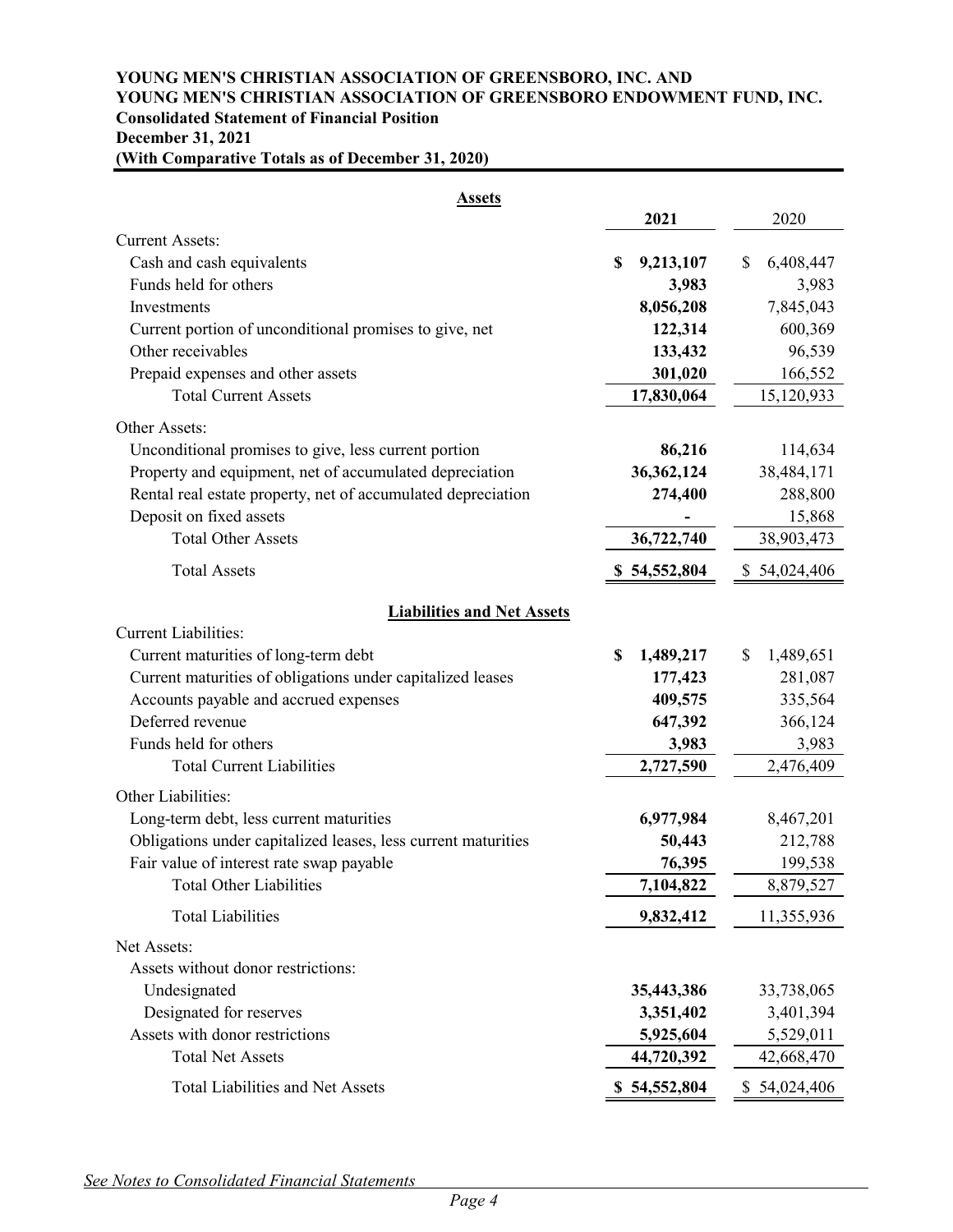# **YOUNG MEN'S CHRISTIAN ASSOCIATION OF GREENSBORO, INC. AND YOUNG MEN'S CHRISTIAN ASSOCIATION OF GREENSBORO ENDOWMENT FUND, INC. Consolidated Statement of Financial Position December 31, 2021**

|  | (With Comparative Totals as of December 31, 2020) |  |  |  |  |
|--|---------------------------------------------------|--|--|--|--|
|--|---------------------------------------------------|--|--|--|--|

| <b>Assets</b>                                                                                                                                                                                                                       |                                                  |                                                  |
|-------------------------------------------------------------------------------------------------------------------------------------------------------------------------------------------------------------------------------------|--------------------------------------------------|--------------------------------------------------|
|                                                                                                                                                                                                                                     | 2021                                             | 2020                                             |
| <b>Current Assets:</b>                                                                                                                                                                                                              |                                                  |                                                  |
| Cash and cash equivalents                                                                                                                                                                                                           | \$<br>9,213,107                                  | \$<br>6,408,447                                  |
| Funds held for others                                                                                                                                                                                                               | 3,983                                            | 3,983                                            |
| Investments                                                                                                                                                                                                                         | 8,056,208                                        | 7,845,043                                        |
| Current portion of unconditional promises to give, net                                                                                                                                                                              | 122,314                                          | 600,369                                          |
| Other receivables                                                                                                                                                                                                                   | 133,432                                          | 96,539                                           |
| Prepaid expenses and other assets                                                                                                                                                                                                   | 301,020                                          | 166,552                                          |
| <b>Total Current Assets</b>                                                                                                                                                                                                         | 17,830,064                                       | 15,120,933                                       |
| Other Assets:                                                                                                                                                                                                                       |                                                  |                                                  |
| Unconditional promises to give, less current portion                                                                                                                                                                                | 86,216                                           | 114,634                                          |
| Property and equipment, net of accumulated depreciation                                                                                                                                                                             | 36, 362, 124                                     | 38,484,171                                       |
| Rental real estate property, net of accumulated depreciation                                                                                                                                                                        | 274,400                                          | 288,800                                          |
| Deposit on fixed assets                                                                                                                                                                                                             |                                                  | 15,868                                           |
| <b>Total Other Assets</b>                                                                                                                                                                                                           | 36,722,740                                       | 38,903,473                                       |
| <b>Total Assets</b>                                                                                                                                                                                                                 | \$54,552,804                                     | \$54,024,406                                     |
| <b>Liabilities and Net Assets</b><br><b>Current Liabilities:</b><br>Current maturities of long-term debt<br>Current maturities of obligations under capitalized leases<br>Accounts payable and accrued expenses<br>Deferred revenue | \$<br>1,489,217<br>177,423<br>409,575<br>647,392 | 1,489,651<br>\$<br>281,087<br>335,564<br>366,124 |
| Funds held for others                                                                                                                                                                                                               | 3,983                                            | 3,983                                            |
| <b>Total Current Liabilities</b><br>Other Liabilities:                                                                                                                                                                              | 2,727,590                                        | 2,476,409                                        |
| Long-term debt, less current maturities                                                                                                                                                                                             | 6,977,984                                        | 8,467,201                                        |
| Obligations under capitalized leases, less current maturities                                                                                                                                                                       | 50,443                                           | 212,788                                          |
| Fair value of interest rate swap payable                                                                                                                                                                                            | 76,395                                           | 199,538                                          |
| <b>Total Other Liabilities</b>                                                                                                                                                                                                      | 7,104,822                                        | 8,879,527                                        |
| <b>Total Liabilities</b>                                                                                                                                                                                                            | 9,832,412                                        | 11,355,936                                       |
| Net Assets:<br>Assets without donor restrictions:                                                                                                                                                                                   |                                                  |                                                  |
| Undesignated                                                                                                                                                                                                                        | 35,443,386                                       | 33,738,065                                       |
| Designated for reserves                                                                                                                                                                                                             | 3,351,402                                        | 3,401,394                                        |
| Assets with donor restrictions                                                                                                                                                                                                      | 5,925,604                                        | 5,529,011                                        |
| <b>Total Net Assets</b>                                                                                                                                                                                                             | 44,720,392                                       | 42,668,470                                       |
| <b>Total Liabilities and Net Assets</b>                                                                                                                                                                                             | \$54,552,804                                     | \$54,024,406                                     |

*See Notes to Consolidated Financial Statements*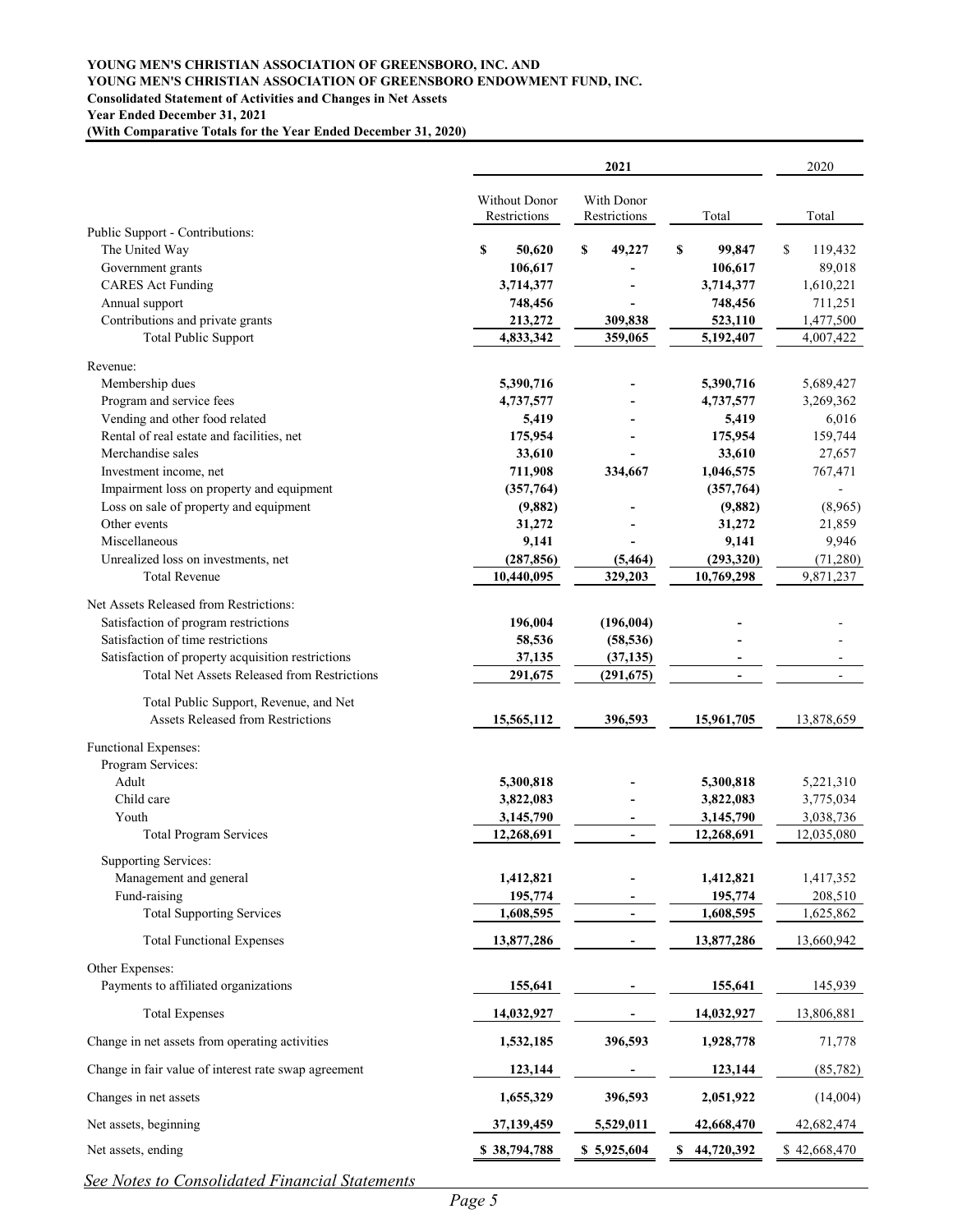#### **YOUNG MEN'S CHRISTIAN ASSOCIATION OF GREENSBORO, INC. AND YOUNG MEN'S CHRISTIAN ASSOCIATION OF GREENSBORO ENDOWMENT FUND, INC. Consolidated Statement of Activities and Changes in Net Assets Year Ended December 31, 2021**

**(With Comparative Totals for the Year Ended December 31, 2020)**

|                                                      |                                      | 2021                       |                 | 2020          |
|------------------------------------------------------|--------------------------------------|----------------------------|-----------------|---------------|
|                                                      | <b>Without Donor</b><br>Restrictions | With Donor<br>Restrictions | Total           | Total         |
| Public Support - Contributions:                      |                                      |                            |                 |               |
| The United Way                                       | \$<br>50,620                         | \$<br>49,227               | S<br>99,847     | \$<br>119,432 |
| Government grants                                    | 106,617                              |                            | 106,617         | 89,018        |
| <b>CARES</b> Act Funding                             | 3,714,377                            |                            | 3,714,377       | 1,610,221     |
| Annual support                                       | 748,456                              |                            | 748,456         | 711,251       |
| Contributions and private grants                     | 213,272                              | 309,838                    | 523,110         | 1,477,500     |
| <b>Total Public Support</b>                          | 4,833,342                            | 359,065                    | 5,192,407       | 4,007,422     |
| Revenue:                                             |                                      |                            |                 |               |
| Membership dues                                      | 5,390,716                            |                            | 5,390,716       | 5,689,427     |
| Program and service fees                             | 4,737,577                            |                            | 4,737,577       | 3,269,362     |
| Vending and other food related                       | 5,419                                |                            | 5,419           | 6,016         |
| Rental of real estate and facilities, net            | 175,954                              |                            | 175,954         | 159,744       |
| Merchandise sales                                    | 33,610                               |                            | 33,610          | 27,657        |
| Investment income, net                               | 711,908                              | 334,667                    | 1,046,575       | 767,471       |
| Impairment loss on property and equipment            | (357,764)                            |                            | (357,764)       |               |
| Loss on sale of property and equipment               | (9,882)                              |                            | (9,882)         | (8,965)       |
| Other events                                         | 31,272                               |                            | 31,272          | 21,859        |
| Miscellaneous                                        | 9,141                                |                            | 9,141           | 9,946         |
| Unrealized loss on investments, net                  | (287, 856)                           | (5, 464)                   | (293, 320)      | (71,280)      |
| <b>Total Revenue</b>                                 | 10,440,095                           | 329,203                    | 10,769,298      | 9,871,237     |
| Net Assets Released from Restrictions:               |                                      |                            |                 |               |
| Satisfaction of program restrictions                 | 196,004                              | (196,004)                  |                 |               |
| Satisfaction of time restrictions                    | 58,536                               | (58, 536)                  |                 |               |
| Satisfaction of property acquisition restrictions    | 37,135                               | (37, 135)                  |                 |               |
| <b>Total Net Assets Released from Restrictions</b>   | 291,675                              | (291, 675)                 |                 |               |
| Total Public Support, Revenue, and Net               |                                      |                            |                 |               |
| <b>Assets Released from Restrictions</b>             | 15,565,112                           | 396,593                    | 15,961,705      | 13,878,659    |
| Functional Expenses:                                 |                                      |                            |                 |               |
| Program Services:                                    |                                      |                            |                 |               |
| Adult                                                | 5,300,818                            |                            | 5,300,818       | 5,221,310     |
| Child care                                           | 3,822,083                            |                            | 3,822,083       | 3,775,034     |
| Youth                                                | 3,145,790                            |                            | 3,145,790       | 3,038,736     |
| <b>Total Program Services</b>                        | 12,268,691                           | $\blacksquare$             | 12,268,691      | 12,035,080    |
| <b>Supporting Services:</b>                          |                                      |                            |                 |               |
| Management and general                               | 1,412,821                            |                            | 1,412,821       | 1,417,352     |
| Fund-raising                                         | 195,774                              |                            | 195,774         | 208,510       |
| <b>Total Supporting Services</b>                     | 1,608,595                            | $\blacksquare$             | 1,608,595       | 1,625,862     |
| <b>Total Functional Expenses</b>                     | 13,877,286                           |                            | 13,877,286      | 13,660,942    |
| Other Expenses:                                      |                                      |                            |                 |               |
| Payments to affiliated organizations                 | 155,641                              |                            | 155,641         | 145,939       |
| <b>Total Expenses</b>                                | 14,032,927                           |                            | 14,032,927      | 13,806,881    |
| Change in net assets from operating activities       | 1,532,185                            | 396,593                    | 1,928,778       | 71,778        |
|                                                      |                                      |                            |                 |               |
| Change in fair value of interest rate swap agreement | 123,144                              |                            | 123,144         | (85, 782)     |
| Changes in net assets                                | 1,655,329                            | 396,593                    | 2,051,922       | (14,004)      |
| Net assets, beginning                                | 37,139,459                           | 5,529,011                  | 42,668,470      | 42,682,474    |
| Net assets, ending                                   | \$38,794,788                         | \$5,925,604                | 44,720,392<br>S | \$42,668,470  |

*See Notes to Consolidated Financial Statements*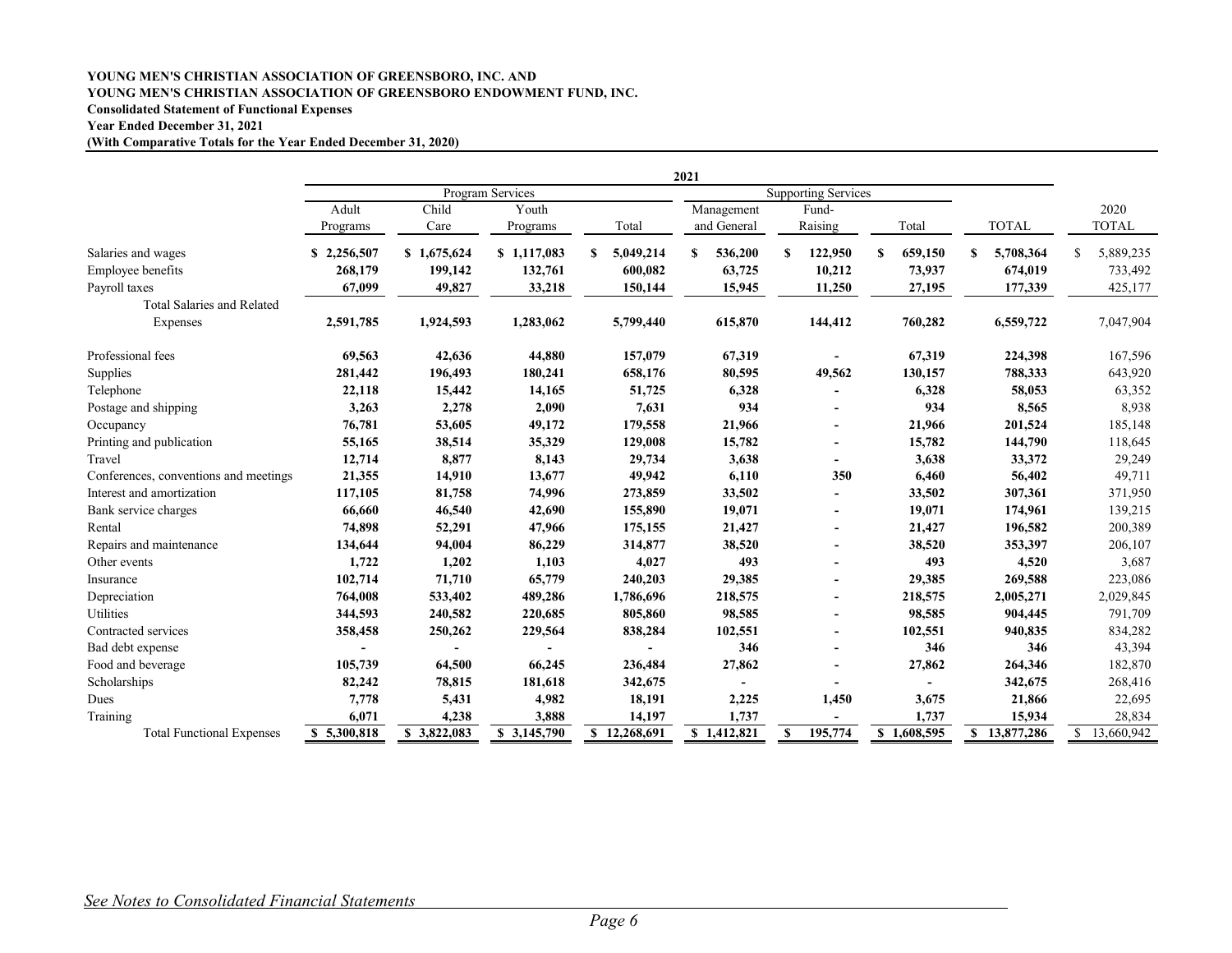#### **YOUNG MEN'S CHRISTIAN ASSOCIATION OF GREENSBORO, INC. AND YOUNG MEN'S CHRISTIAN ASSOCIATION OF GREENSBORO ENDOWMENT FUND, INC. Consolidated Statement of Functional Expenses**

#### **Year Ended December 31, 2021**

**(With Comparative Totals for the Year Ended December 31, 2020)**

|                                       |             |             |                  |                | 2021         |                            |              |              |                 |
|---------------------------------------|-------------|-------------|------------------|----------------|--------------|----------------------------|--------------|--------------|-----------------|
|                                       |             |             | Program Services |                |              | <b>Supporting Services</b> |              |              |                 |
|                                       | Adult       | Child       | Youth            |                | Management   | Fund-                      |              |              | 2020            |
|                                       | Programs    | Care        | Programs         | Total          | and General  | Raising                    | Total        | <b>TOTAL</b> | <b>TOTAL</b>    |
| Salaries and wages                    | \$2,256,507 | \$1,675,624 | \$1,117,083      | S<br>5,049,214 | S<br>536,200 | 122,950<br>S               | S<br>659,150 | 5,708,364    | 5,889,235<br>\$ |
| Employee benefits                     | 268,179     | 199,142     | 132,761          | 600,082        | 63,725       | 10,212                     | 73,937       | 674,019      | 733,492         |
| Payroll taxes                         | 67,099      | 49,827      | 33,218           | 150,144        | 15,945       | 11,250                     | 27,195       | 177,339      | 425,177         |
| <b>Total Salaries and Related</b>     |             |             |                  |                |              |                            |              |              |                 |
| Expenses                              | 2,591,785   | 1,924,593   | 1,283,062        | 5,799,440      | 615,870      | 144,412                    | 760,282      | 6,559,722    | 7,047,904       |
| Professional fees                     | 69,563      | 42,636      | 44,880           | 157,079        | 67,319       |                            | 67,319       | 224,398      | 167,596         |
| Supplies                              | 281,442     | 196,493     | 180,241          | 658,176        | 80,595       | 49,562                     | 130,157      | 788,333      | 643,920         |
| Telephone                             | 22,118      | 15,442      | 14,165           | 51,725         | 6,328        |                            | 6,328        | 58,053       | 63,352          |
| Postage and shipping                  | 3,263       | 2,278       | 2,090            | 7,631          | 934          |                            | 934          | 8,565        | 8,938           |
| Occupancy                             | 76,781      | 53,605      | 49,172           | 179,558        | 21,966       |                            | 21,966       | 201,524      | 185,148         |
| Printing and publication              | 55,165      | 38,514      | 35,329           | 129,008        | 15,782       |                            | 15,782       | 144,790      | 118,645         |
| Travel                                | 12,714      | 8,877       | 8,143            | 29,734         | 3,638        |                            | 3,638        | 33,372       | 29,249          |
| Conferences, conventions and meetings | 21,355      | 14,910      | 13,677           | 49,942         | 6,110        | 350                        | 6,460        | 56,402       | 49,711          |
| Interest and amortization             | 117,105     | 81,758      | 74,996           | 273,859        | 33,502       |                            | 33,502       | 307,361      | 371,950         |
| Bank service charges                  | 66,660      | 46,540      | 42,690           | 155,890        | 19,071       | $\sim$                     | 19,071       | 174,961      | 139,215         |
| Rental                                | 74,898      | 52,291      | 47,966           | 175,155        | 21,427       |                            | 21,427       | 196,582      | 200,389         |
| Repairs and maintenance               | 134,644     | 94,004      | 86,229           | 314,877        | 38,520       | $\overline{\phantom{a}}$   | 38,520       | 353,397      | 206,107         |
| Other events                          | 1,722       | 1,202       | 1,103            | 4,027          | 493          |                            | 493          | 4,520        | 3,687           |
| Insurance                             | 102,714     | 71,710      | 65,779           | 240,203        | 29,385       |                            | 29,385       | 269,588      | 223,086         |
| Depreciation                          | 764,008     | 533,402     | 489,286          | 1,786,696      | 218,575      |                            | 218,575      | 2,005,271    | 2,029,845       |
| Utilities                             | 344,593     | 240,582     | 220,685          | 805,860        | 98,585       | $\overline{\phantom{a}}$   | 98,585       | 904,445      | 791,709         |
| Contracted services                   | 358,458     | 250,262     | 229,564          | 838,284        | 102,551      | $\sim$                     | 102,551      | 940,835      | 834,282         |
| Bad debt expense                      |             |             |                  |                | 346          |                            | 346          | 346          | 43,394          |
| Food and beverage                     | 105,739     | 64,500      | 66,245           | 236,484        | 27,862       |                            | 27,862       | 264,346      | 182,870         |
| Scholarships                          | 82,242      | 78,815      | 181,618          | 342,675        |              |                            |              | 342,675      | 268,416         |
| Dues                                  | 7,778       | 5,431       | 4,982            | 18,191         | 2,225        | 1,450                      | 3,675        | 21,866       | 22,695          |
| Training                              | 6,071       | 4,238       | 3,888            | 14,197         | 1,737        |                            | 1,737        | 15,934       | 28,834          |
| <b>Total Functional Expenses</b>      | \$5,300,818 | \$3,822,083 | \$3,145,790      | \$12,268,691   | \$1,412,821  | 195,774<br>S               | \$1,608,595  | \$13,877,286 | \$13,660,942    |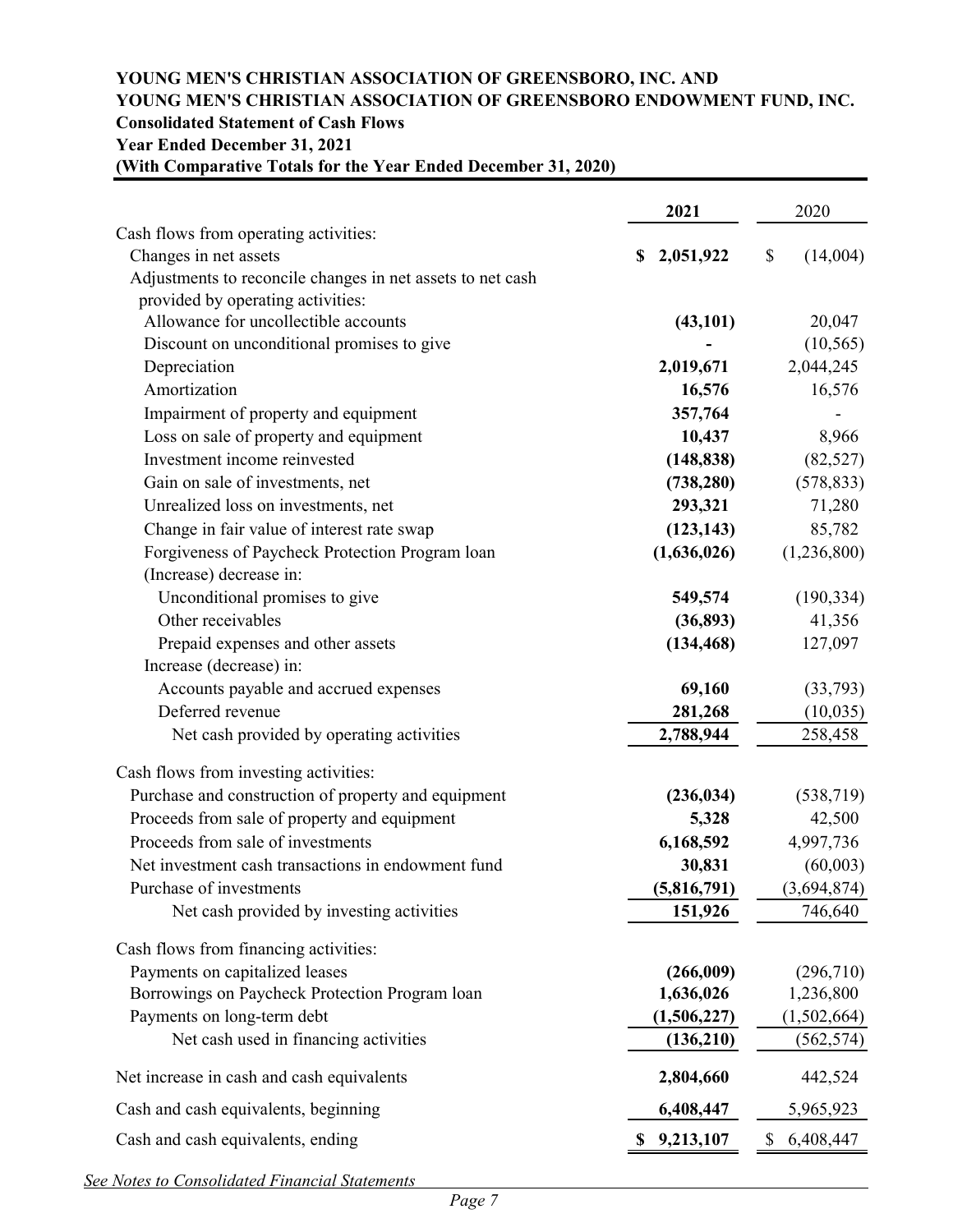# **YOUNG MEN'S CHRISTIAN ASSOCIATION OF GREENSBORO, INC. AND YOUNG MEN'S CHRISTIAN ASSOCIATION OF GREENSBORO ENDOWMENT FUND, INC. Consolidated Statement of Cash Flows Year Ended December 31, 2021**

| (With Comparative Totals for the Year Ended December 31, 2020) |
|----------------------------------------------------------------|
|----------------------------------------------------------------|

| Cash flows from operating activities:<br>Changes in net assets<br>2,051,922<br>\$<br>S<br>Adjustments to reconcile changes in net assets to net cash<br>provided by operating activities:<br>Allowance for uncollectible accounts<br>(43, 101)<br>Discount on unconditional promises to give | (14,004)<br>20,047<br>(10, 565)<br>2,044,245 |
|----------------------------------------------------------------------------------------------------------------------------------------------------------------------------------------------------------------------------------------------------------------------------------------------|----------------------------------------------|
|                                                                                                                                                                                                                                                                                              |                                              |
|                                                                                                                                                                                                                                                                                              |                                              |
|                                                                                                                                                                                                                                                                                              |                                              |
|                                                                                                                                                                                                                                                                                              |                                              |
|                                                                                                                                                                                                                                                                                              |                                              |
|                                                                                                                                                                                                                                                                                              |                                              |
| Depreciation<br>2,019,671                                                                                                                                                                                                                                                                    |                                              |
| Amortization<br>16,576                                                                                                                                                                                                                                                                       | 16,576                                       |
| 357,764<br>Impairment of property and equipment                                                                                                                                                                                                                                              |                                              |
| Loss on sale of property and equipment<br>10,437                                                                                                                                                                                                                                             | 8,966                                        |
| Investment income reinvested<br>(148, 838)                                                                                                                                                                                                                                                   | (82, 527)                                    |
| Gain on sale of investments, net<br>(738, 280)                                                                                                                                                                                                                                               | (578, 833)                                   |
| Unrealized loss on investments, net<br>293,321                                                                                                                                                                                                                                               | 71,280                                       |
| Change in fair value of interest rate swap<br>(123, 143)                                                                                                                                                                                                                                     | 85,782                                       |
| Forgiveness of Paycheck Protection Program loan<br>(1,636,026)                                                                                                                                                                                                                               | (1,236,800)                                  |
| (Increase) decrease in:                                                                                                                                                                                                                                                                      |                                              |
| Unconditional promises to give<br>549,574                                                                                                                                                                                                                                                    | (190, 334)                                   |
| Other receivables<br>(36,893)                                                                                                                                                                                                                                                                | 41,356                                       |
| Prepaid expenses and other assets<br>(134, 468)                                                                                                                                                                                                                                              | 127,097                                      |
| Increase (decrease) in:                                                                                                                                                                                                                                                                      |                                              |
| Accounts payable and accrued expenses<br>69,160                                                                                                                                                                                                                                              | (33,793)                                     |
| Deferred revenue<br>281,268                                                                                                                                                                                                                                                                  | (10, 035)                                    |
| Net cash provided by operating activities<br>2,788,944                                                                                                                                                                                                                                       | 258,458                                      |
| Cash flows from investing activities:                                                                                                                                                                                                                                                        |                                              |
| Purchase and construction of property and equipment<br>(236, 034)                                                                                                                                                                                                                            | (538, 719)                                   |
| Proceeds from sale of property and equipment<br>5,328                                                                                                                                                                                                                                        | 42,500                                       |
| Proceeds from sale of investments<br>6,168,592                                                                                                                                                                                                                                               | 4,997,736                                    |
| Net investment cash transactions in endowment fund<br>30,831                                                                                                                                                                                                                                 | (60,003)                                     |
| (5,816,791)<br>Purchase of investments                                                                                                                                                                                                                                                       | (3,694,874)                                  |
| Net cash provided by investing activities<br>151,926                                                                                                                                                                                                                                         | 746,640                                      |
| Cash flows from financing activities:                                                                                                                                                                                                                                                        |                                              |
| Payments on capitalized leases<br>(266,009)                                                                                                                                                                                                                                                  | (296, 710)                                   |
| Borrowings on Paycheck Protection Program loan<br>1,636,026                                                                                                                                                                                                                                  | 1,236,800                                    |
| Payments on long-term debt<br>(1,506,227)                                                                                                                                                                                                                                                    | (1,502,664)                                  |
| Net cash used in financing activities<br>(136,210)                                                                                                                                                                                                                                           | (562, 574)                                   |
| 2,804,660<br>Net increase in cash and cash equivalents                                                                                                                                                                                                                                       | 442,524                                      |
| Cash and cash equivalents, beginning<br>6,408,447                                                                                                                                                                                                                                            | 5,965,923                                    |
| Cash and cash equivalents, ending<br>\$<br>9,213,107                                                                                                                                                                                                                                         | 6,408,447                                    |

*See Notes to Consolidated Financial Statements*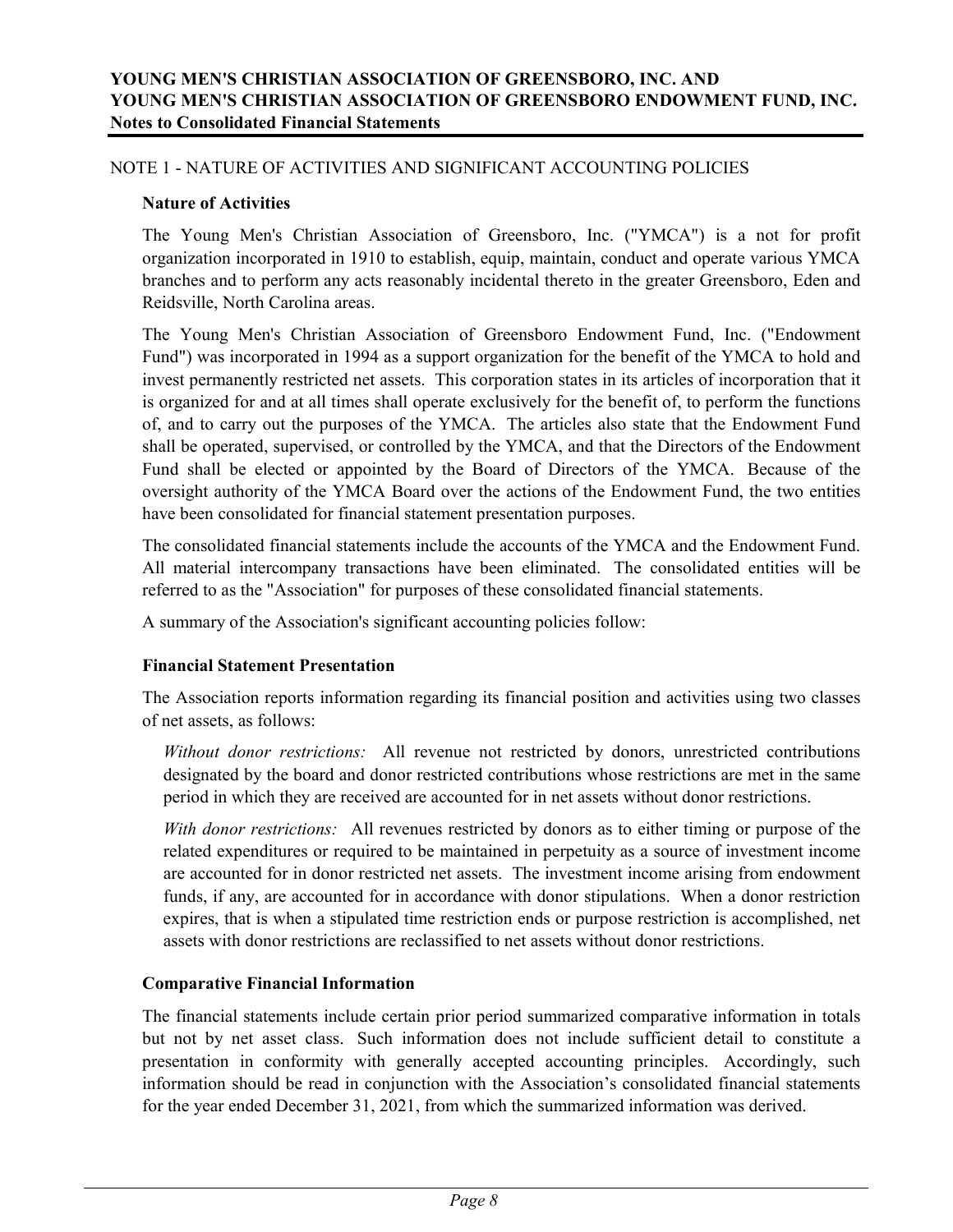#### **Nature of Activities**

The Young Men's Christian Association of Greensboro, Inc. ("YMCA") is a not for profit organization incorporated in 1910 to establish, equip, maintain, conduct and operate various YMCA branches and to perform any acts reasonably incidental thereto in the greater Greensboro, Eden and Reidsville, North Carolina areas.

The Young Men's Christian Association of Greensboro Endowment Fund, Inc. ("Endowment Fund") was incorporated in 1994 as a support organization for the benefit of the YMCA to hold and invest permanently restricted net assets. This corporation states in its articles of incorporation that it is organized for and at all times shall operate exclusively for the benefit of, to perform the functions of, and to carry out the purposes of the YMCA. The articles also state that the Endowment Fund shall be operated, supervised, or controlled by the YMCA, and that the Directors of the Endowment Fund shall be elected or appointed by the Board of Directors of the YMCA. Because of the oversight authority of the YMCA Board over the actions of the Endowment Fund, the two entities have been consolidated for financial statement presentation purposes.

The consolidated financial statements include the accounts of the YMCA and the Endowment Fund. All material intercompany transactions have been eliminated. The consolidated entities will be referred to as the "Association" for purposes of these consolidated financial statements.

A summary of the Association's significant accounting policies follow:

#### **Financial Statement Presentation**

The Association reports information regarding its financial position and activities using two classes of net assets, as follows:

*Without donor restrictions:* All revenue not restricted by donors, unrestricted contributions designated by the board and donor restricted contributions whose restrictions are met in the same period in which they are received are accounted for in net assets without donor restrictions.

*With donor restrictions:* All revenues restricted by donors as to either timing or purpose of the related expenditures or required to be maintained in perpetuity as a source of investment income are accounted for in donor restricted net assets. The investment income arising from endowment funds, if any, are accounted for in accordance with donor stipulations. When a donor restriction expires, that is when a stipulated time restriction ends or purpose restriction is accomplished, net assets with donor restrictions are reclassified to net assets without donor restrictions.

#### **Comparative Financial Information**

The financial statements include certain prior period summarized comparative information in totals but not by net asset class. Such information does not include sufficient detail to constitute a presentation in conformity with generally accepted accounting principles. Accordingly, such information should be read in conjunction with the Association's consolidated financial statements for the year ended December 31, 2021, from which the summarized information was derived.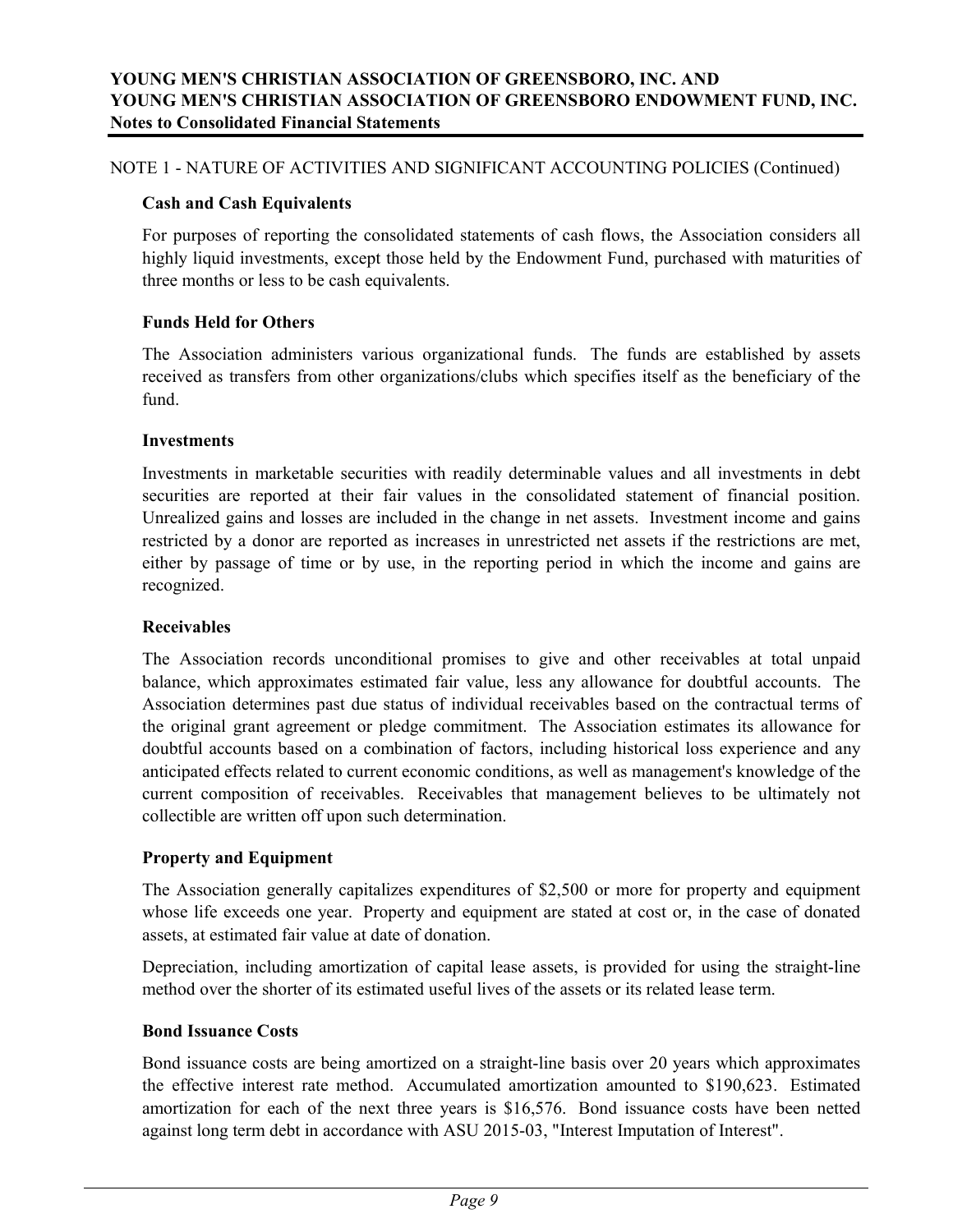#### **Cash and Cash Equivalents**

For purposes of reporting the consolidated statements of cash flows, the Association considers all highly liquid investments, except those held by the Endowment Fund, purchased with maturities of three months or less to be cash equivalents.

#### **Funds Held for Others**

The Association administers various organizational funds. The funds are established by assets received as transfers from other organizations/clubs which specifies itself as the beneficiary of the fund.

#### **Investments**

Investments in marketable securities with readily determinable values and all investments in debt securities are reported at their fair values in the consolidated statement of financial position. Unrealized gains and losses are included in the change in net assets. Investment income and gains restricted by a donor are reported as increases in unrestricted net assets if the restrictions are met, either by passage of time or by use, in the reporting period in which the income and gains are recognized.

#### **Receivables**

The Association records unconditional promises to give and other receivables at total unpaid balance, which approximates estimated fair value, less any allowance for doubtful accounts. The Association determines past due status of individual receivables based on the contractual terms of the original grant agreement or pledge commitment. The Association estimates its allowance for doubtful accounts based on a combination of factors, including historical loss experience and any anticipated effects related to current economic conditions, as well as management's knowledge of the current composition of receivables. Receivables that management believes to be ultimately not collectible are written off upon such determination.

#### **Property and Equipment**

The Association generally capitalizes expenditures of \$2,500 or more for property and equipment whose life exceeds one year. Property and equipment are stated at cost or, in the case of donated assets, at estimated fair value at date of donation.

Depreciation, including amortization of capital lease assets, is provided for using the straight-line method over the shorter of its estimated useful lives of the assets or its related lease term.

#### **Bond Issuance Costs**

Bond issuance costs are being amortized on a straight-line basis over 20 years which approximates the effective interest rate method. Accumulated amortization amounted to \$190,623. Estimated amortization for each of the next three years is \$16,576. Bond issuance costs have been netted against long term debt in accordance with ASU 2015-03, "Interest Imputation of Interest".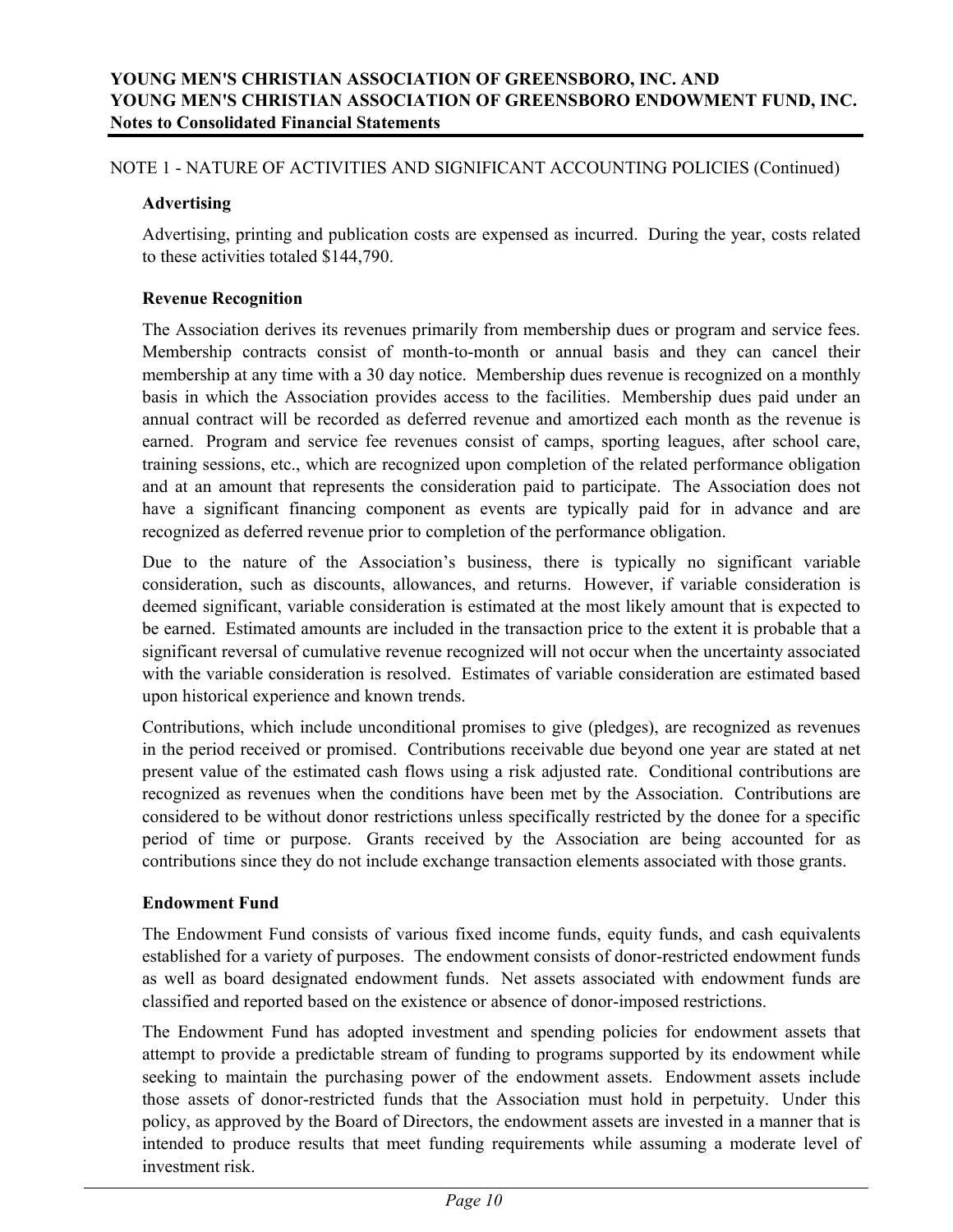# **Advertising**

Advertising, printing and publication costs are expensed as incurred. During the year, costs related to these activities totaled \$144,790.

# **Revenue Recognition**

The Association derives its revenues primarily from membership dues or program and service fees. Membership contracts consist of month-to-month or annual basis and they can cancel their membership at any time with a 30 day notice. Membership dues revenue is recognized on a monthly basis in which the Association provides access to the facilities. Membership dues paid under an annual contract will be recorded as deferred revenue and amortized each month as the revenue is earned. Program and service fee revenues consist of camps, sporting leagues, after school care, training sessions, etc., which are recognized upon completion of the related performance obligation and at an amount that represents the consideration paid to participate. The Association does not have a significant financing component as events are typically paid for in advance and are recognized as deferred revenue prior to completion of the performance obligation.

Due to the nature of the Association's business, there is typically no significant variable consideration, such as discounts, allowances, and returns. However, if variable consideration is deemed significant, variable consideration is estimated at the most likely amount that is expected to be earned. Estimated amounts are included in the transaction price to the extent it is probable that a significant reversal of cumulative revenue recognized will not occur when the uncertainty associated with the variable consideration is resolved. Estimates of variable consideration are estimated based upon historical experience and known trends.

Contributions, which include unconditional promises to give (pledges), are recognized as revenues in the period received or promised. Contributions receivable due beyond one year are stated at net present value of the estimated cash flows using a risk adjusted rate. Conditional contributions are recognized as revenues when the conditions have been met by the Association. Contributions are considered to be without donor restrictions unless specifically restricted by the donee for a specific period of time or purpose. Grants received by the Association are being accounted for as contributions since they do not include exchange transaction elements associated with those grants.

#### **Endowment Fund**

The Endowment Fund consists of various fixed income funds, equity funds, and cash equivalents established for a variety of purposes. The endowment consists of donor-restricted endowment funds as well as board designated endowment funds. Net assets associated with endowment funds are classified and reported based on the existence or absence of donor-imposed restrictions.

The Endowment Fund has adopted investment and spending policies for endowment assets that attempt to provide a predictable stream of funding to programs supported by its endowment while seeking to maintain the purchasing power of the endowment assets. Endowment assets include those assets of donor-restricted funds that the Association must hold in perpetuity. Under this policy, as approved by the Board of Directors, the endowment assets are invested in a manner that is intended to produce results that meet funding requirements while assuming a moderate level of investment risk.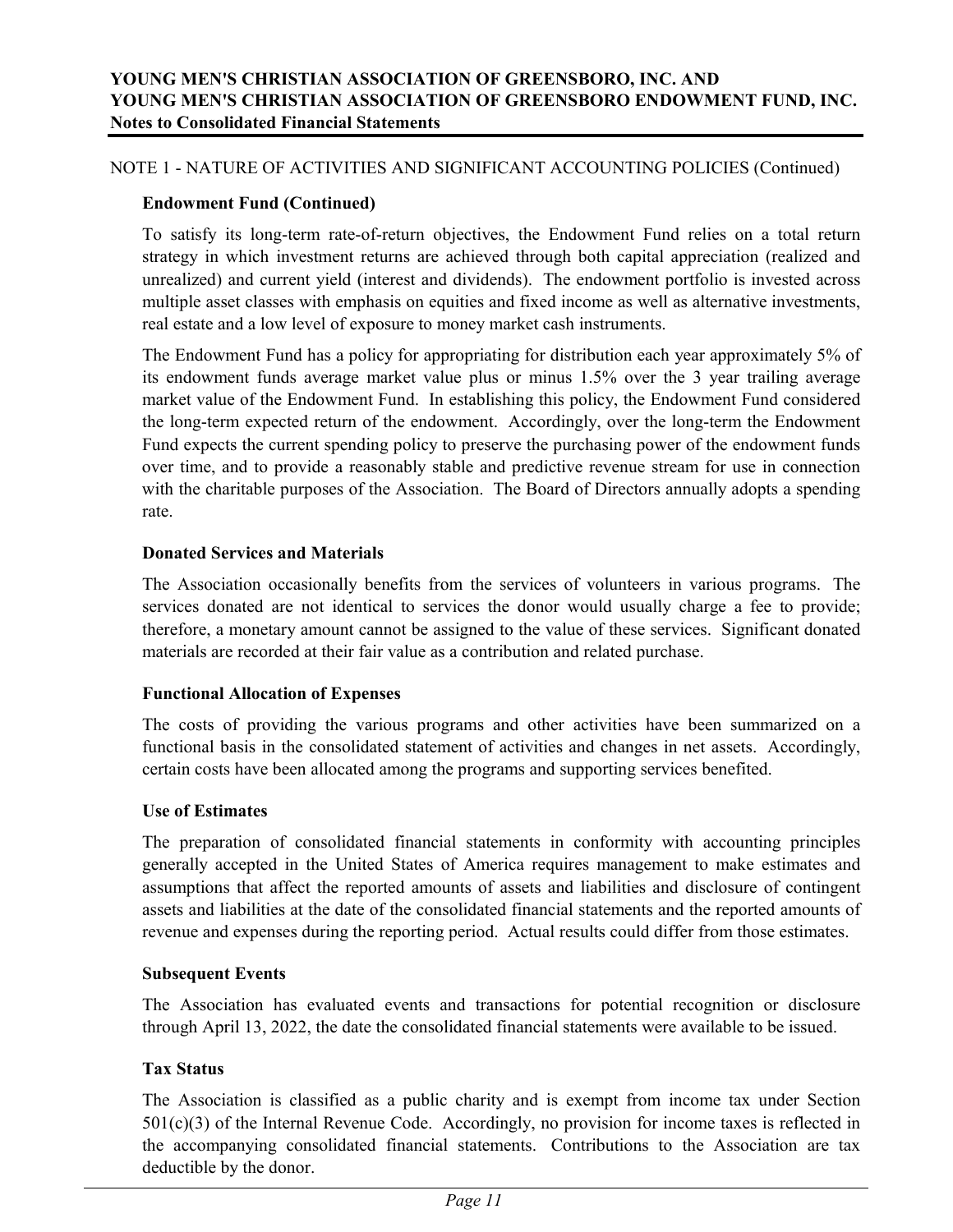# **Endowment Fund (Continued)**

To satisfy its long-term rate-of-return objectives, the Endowment Fund relies on a total return strategy in which investment returns are achieved through both capital appreciation (realized and unrealized) and current yield (interest and dividends). The endowment portfolio is invested across multiple asset classes with emphasis on equities and fixed income as well as alternative investments, real estate and a low level of exposure to money market cash instruments.

The Endowment Fund has a policy for appropriating for distribution each year approximately 5% of its endowment funds average market value plus or minus 1.5% over the 3 year trailing average market value of the Endowment Fund. In establishing this policy, the Endowment Fund considered the long-term expected return of the endowment. Accordingly, over the long-term the Endowment Fund expects the current spending policy to preserve the purchasing power of the endowment funds over time, and to provide a reasonably stable and predictive revenue stream for use in connection with the charitable purposes of the Association. The Board of Directors annually adopts a spending rate.

# **Donated Services and Materials**

The Association occasionally benefits from the services of volunteers in various programs. The services donated are not identical to services the donor would usually charge a fee to provide; therefore, a monetary amount cannot be assigned to the value of these services. Significant donated materials are recorded at their fair value as a contribution and related purchase.

#### **Functional Allocation of Expenses**

The costs of providing the various programs and other activities have been summarized on a functional basis in the consolidated statement of activities and changes in net assets. Accordingly, certain costs have been allocated among the programs and supporting services benefited.

#### **Use of Estimates**

The preparation of consolidated financial statements in conformity with accounting principles generally accepted in the United States of America requires management to make estimates and assumptions that affect the reported amounts of assets and liabilities and disclosure of contingent assets and liabilities at the date of the consolidated financial statements and the reported amounts of revenue and expenses during the reporting period. Actual results could differ from those estimates.

#### **Subsequent Events**

The Association has evaluated events and transactions for potential recognition or disclosure through April 13, 2022, the date the consolidated financial statements were available to be issued.

# **Tax Status**

The Association is classified as a public charity and is exempt from income tax under Section 501(c)(3) of the Internal Revenue Code. Accordingly, no provision for income taxes is reflected in the accompanying consolidated financial statements. Contributions to the Association are tax deductible by the donor.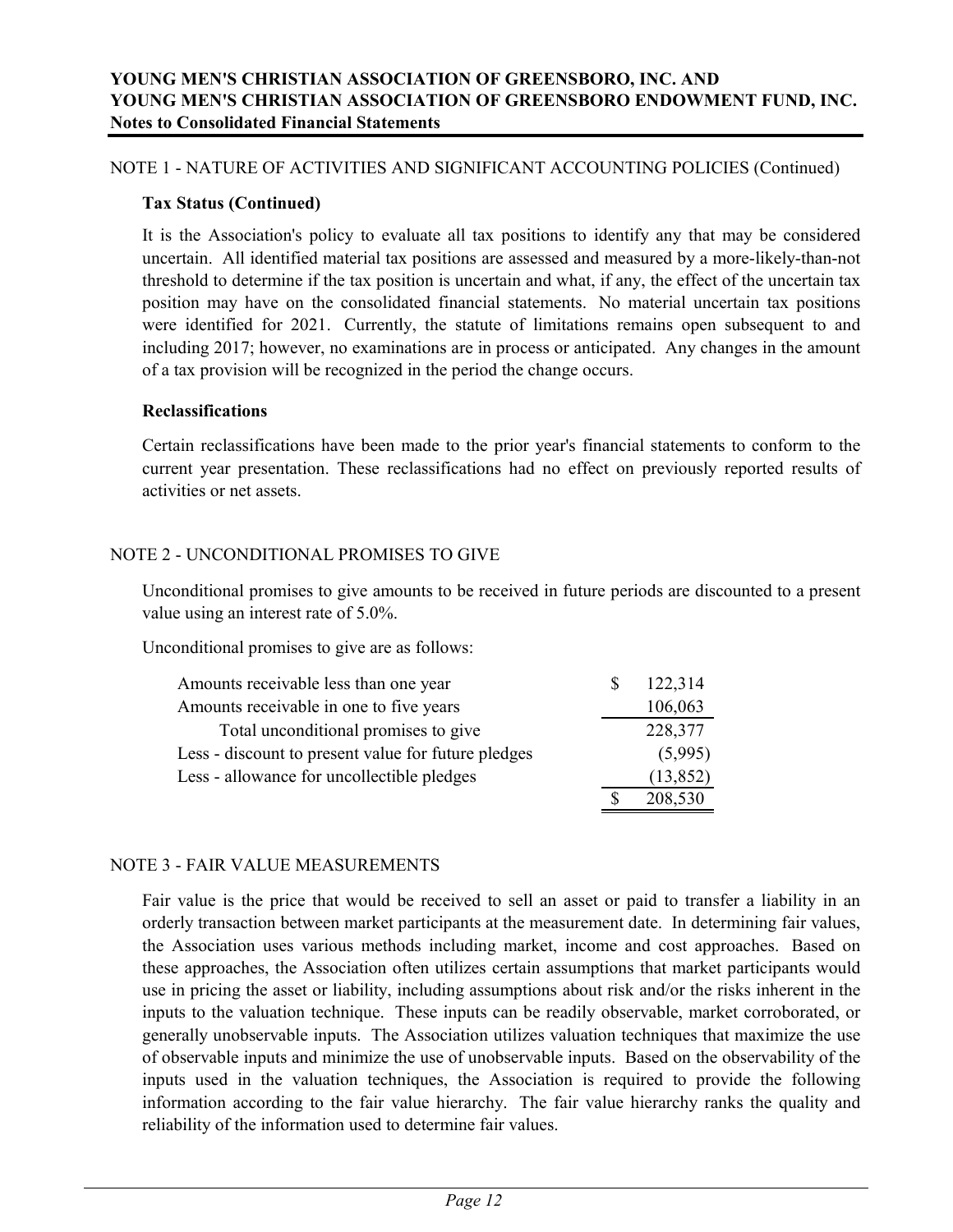#### **Tax Status (Continued)**

It is the Association's policy to evaluate all tax positions to identify any that may be considered uncertain. All identified material tax positions are assessed and measured by a more-likely-than-not threshold to determine if the tax position is uncertain and what, if any, the effect of the uncertain tax position may have on the consolidated financial statements. No material uncertain tax positions were identified for 2021. Currently, the statute of limitations remains open subsequent to and including 2017; however, no examinations are in process or anticipated. Any changes in the amount of a tax provision will be recognized in the period the change occurs.

#### **Reclassifications**

Certain reclassifications have been made to the prior year's financial statements to conform to the current year presentation. These reclassifications had no effect on previously reported results of activities or net assets.

# NOTE 2 - UNCONDITIONAL PROMISES TO GIVE

Unconditional promises to give amounts to be received in future periods are discounted to a present value using an interest rate of 5.0%.

Unconditional promises to give are as follows:

| Amounts receivable less than one year               | <b>S</b> | 122,314   |
|-----------------------------------------------------|----------|-----------|
| Amounts receivable in one to five years             |          | 106,063   |
| Total unconditional promises to give                |          | 228,377   |
| Less - discount to present value for future pledges |          | (5,995)   |
| Less - allowance for uncollectible pledges          |          | (13, 852) |
|                                                     |          | 208,530   |

#### NOTE 3 - FAIR VALUE MEASUREMENTS

Fair value is the price that would be received to sell an asset or paid to transfer a liability in an orderly transaction between market participants at the measurement date. In determining fair values, the Association uses various methods including market, income and cost approaches. Based on these approaches, the Association often utilizes certain assumptions that market participants would use in pricing the asset or liability, including assumptions about risk and/or the risks inherent in the inputs to the valuation technique. These inputs can be readily observable, market corroborated, or generally unobservable inputs. The Association utilizes valuation techniques that maximize the use of observable inputs and minimize the use of unobservable inputs. Based on the observability of the inputs used in the valuation techniques, the Association is required to provide the following information according to the fair value hierarchy. The fair value hierarchy ranks the quality and reliability of the information used to determine fair values.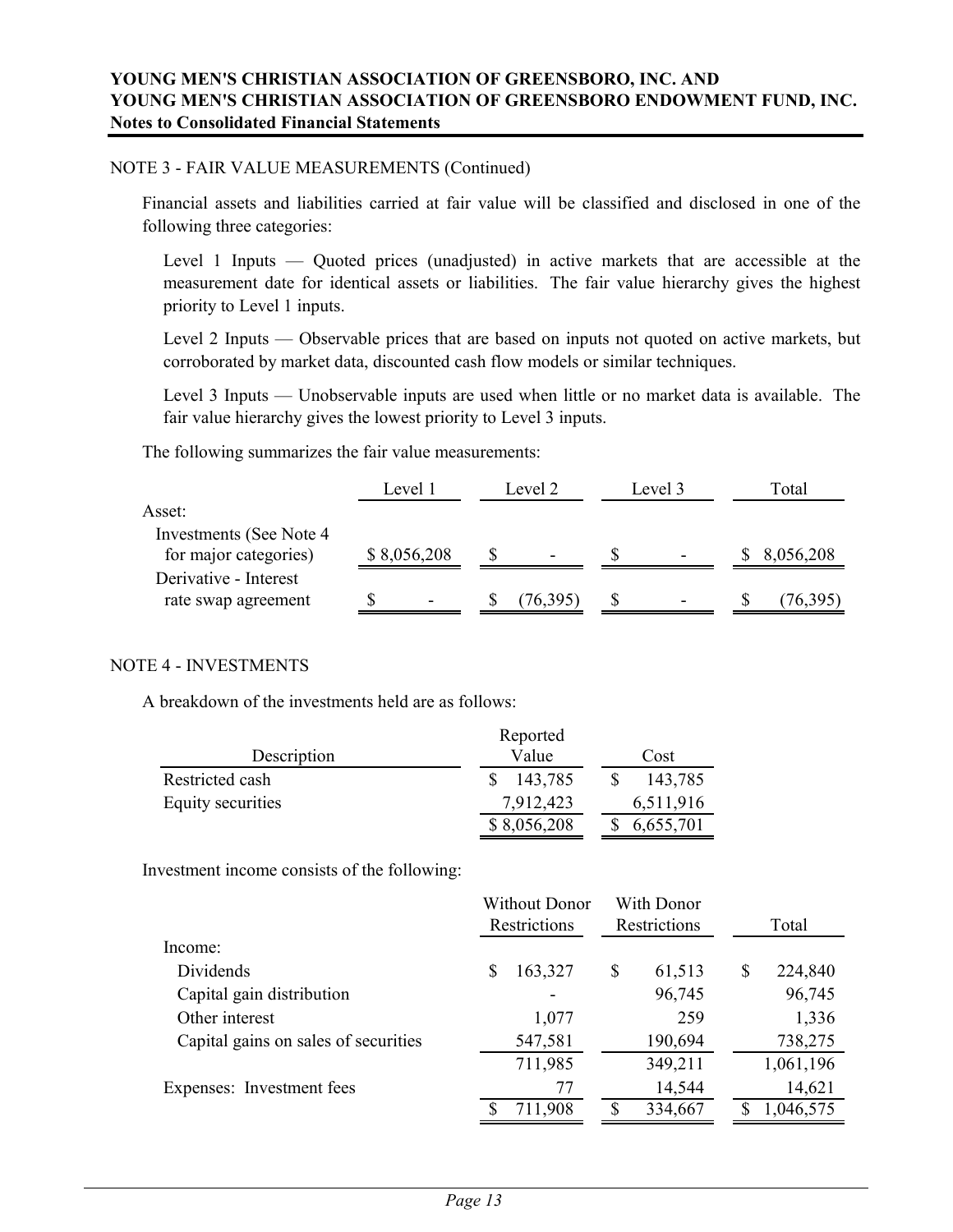#### NOTE 3 - FAIR VALUE MEASUREMENTS (Continued)

Financial assets and liabilities carried at fair value will be classified and disclosed in one of the following three categories:

Level 1 Inputs — Quoted prices (unadjusted) in active markets that are accessible at the measurement date for identical assets or liabilities. The fair value hierarchy gives the highest priority to Level 1 inputs.

Level 2 Inputs — Observable prices that are based on inputs not quoted on active markets, but corroborated by market data, discounted cash flow models or similar techniques.

Level 3 Inputs — Unobservable inputs are used when little or no market data is available. The fair value hierarchy gives the lowest priority to Level 3 inputs.

The following summarizes the fair value measurements:

|                                                   | Level 1                  | Level 2                  | Level 3                      | Total     |
|---------------------------------------------------|--------------------------|--------------------------|------------------------------|-----------|
| Asset:                                            |                          |                          |                              |           |
| Investments (See Note 4)<br>for major categories) | \$8,056,208              | $\overline{\phantom{0}}$ | $\qquad \qquad \blacksquare$ | 8,056,208 |
| Derivative - Interest<br>rate swap agreement      | $\overline{\phantom{a}}$ | (76, 395)                |                              | 76,395)   |

#### NOTE 4 - INVESTMENTS

A breakdown of the investments held are as follows:

|                   | Reported    |           |  |  |  |
|-------------------|-------------|-----------|--|--|--|
| Description       | Value       | Cost      |  |  |  |
| Restricted cash   | 143,785     | 143,785   |  |  |  |
| Equity securities | 7,912,423   | 6,511,916 |  |  |  |
|                   | \$8,056,208 | 6,655,701 |  |  |  |

Investment income consists of the following:

|                                      | Without Donor | With Donor   |               |
|--------------------------------------|---------------|--------------|---------------|
|                                      | Restrictions  | Restrictions | Total         |
| Income:                              |               |              |               |
| Dividends                            | 163,327<br>S  | S<br>61,513  | 224,840<br>\$ |
| Capital gain distribution            |               | 96,745       | 96,745        |
| Other interest                       | 1,077         | 259          | 1,336         |
| Capital gains on sales of securities | 547,581       | 190,694      | 738,275       |
|                                      | 711,985       | 349,211      | 1,061,196     |
| Expenses: Investment fees            | 77            | 14,544       | 14,621        |
|                                      | 711,908       | 334,667      | 1,046,575     |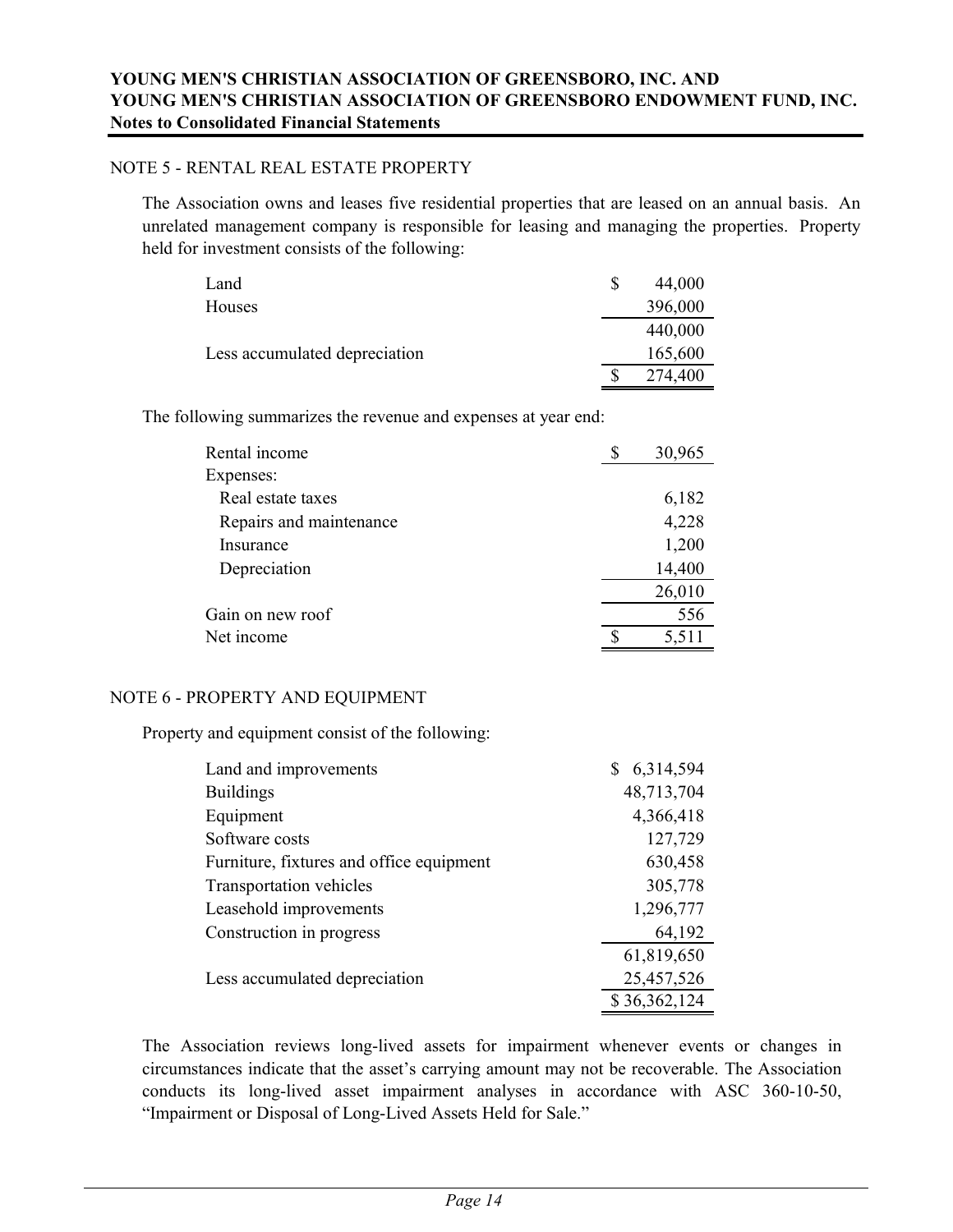#### NOTE 5 - RENTAL REAL ESTATE PROPERTY

The Association owns and leases five residential properties that are leased on an annual basis. An unrelated management company is responsible for leasing and managing the properties. Property held for investment consists of the following:

| Land                          | S | 44,000  |
|-------------------------------|---|---------|
| Houses                        |   | 396,000 |
|                               |   | 440,000 |
| Less accumulated depreciation |   | 165,600 |
|                               |   | 274,400 |

The following summarizes the revenue and expenses at year end:

| Rental income           | 30,965      |
|-------------------------|-------------|
| Expenses:               |             |
| Real estate taxes       | 6,182       |
| Repairs and maintenance | 4,228       |
| Insurance               | 1,200       |
| Depreciation            | 14,400      |
|                         | 26,010      |
| Gain on new roof        | 556         |
| Net income              | \$<br>5,511 |

#### NOTE 6 - PROPERTY AND EQUIPMENT

Property and equipment consist of the following:

| Land and improvements                    | 6,314,594    |
|------------------------------------------|--------------|
| <b>Buildings</b>                         | 48,713,704   |
| Equipment                                | 4,366,418    |
| Software costs                           | 127,729      |
| Furniture, fixtures and office equipment | 630,458      |
| Transportation vehicles                  | 305,778      |
| Leasehold improvements                   | 1,296,777    |
| Construction in progress                 | 64,192       |
|                                          | 61,819,650   |
| Less accumulated depreciation            | 25,457,526   |
|                                          | \$36,362,124 |

The Association reviews long-lived assets for impairment whenever events or changes in circumstances indicate that the asset's carrying amount may not be recoverable. The Association conducts its long-lived asset impairment analyses in accordance with ASC 360-10-50, "Impairment or Disposal of Long-Lived Assets Held for Sale."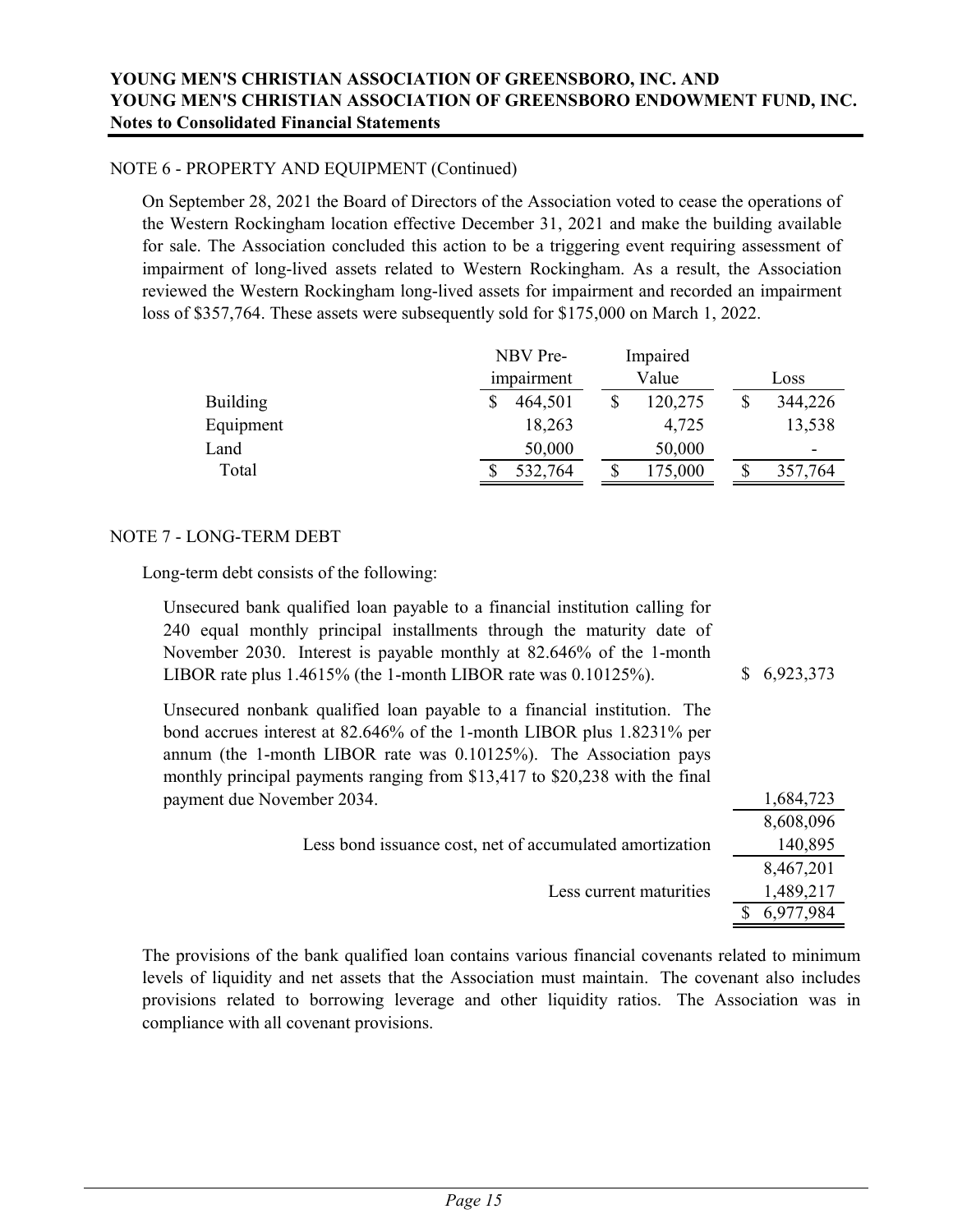#### NOTE 6 - PROPERTY AND EQUIPMENT (Continued)

On September 28, 2021 the Board of Directors of the Association voted to cease the operations of the Western Rockingham location effective December 31, 2021 and make the building available for sale. The Association concluded this action to be a triggering event requiring assessment of impairment of long-lived assets related to Western Rockingham. As a result, the Association reviewed the Western Rockingham long-lived assets for impairment and recorded an impairment loss of \$357,764. These assets were subsequently sold for \$175,000 on March 1, 2022.

|                 |            | NBV Pre- | Impaired |  |         |
|-----------------|------------|----------|----------|--|---------|
|                 | impairment |          | Value    |  | Loss    |
| <b>Building</b> |            | 464,501  | 120,275  |  | 344,226 |
| Equipment       |            | 18,263   | 4,725    |  | 13,538  |
| Land            |            | 50,000   | 50,000   |  | $\,$    |
| Total           |            | 532,764  | 175,000  |  | 357,764 |

#### NOTE 7 - LONG-TERM DEBT

Long-term debt consists of the following:

| Unsecured bank qualified loan payable to a financial institution calling for<br>240 equal monthly principal installments through the maturity date of<br>November 2030. Interest is payable monthly at 82.646% of the 1-month<br>LIBOR rate plus $1.4615\%$ (the 1-month LIBOR rate was $0.10125\%$ ). | \$6,923,373 |
|--------------------------------------------------------------------------------------------------------------------------------------------------------------------------------------------------------------------------------------------------------------------------------------------------------|-------------|
| Unsecured nonbank qualified loan payable to a financial institution. The<br>bond accrues interest at 82.646% of the 1-month LIBOR plus 1.8231% per<br>annum (the 1-month LIBOR rate was 0.10125%). The Association pays<br>monthly principal payments ranging from \$13,417 to \$20,238 with the final |             |
| payment due November 2034.                                                                                                                                                                                                                                                                             | 1,684,723   |
|                                                                                                                                                                                                                                                                                                        | 8,608,096   |
| Less bond issuance cost, net of accumulated amortization                                                                                                                                                                                                                                               | 140,895     |
|                                                                                                                                                                                                                                                                                                        | 8,467,201   |
| Less current maturities                                                                                                                                                                                                                                                                                | 1,489,217   |
|                                                                                                                                                                                                                                                                                                        | 6,977,984   |

The provisions of the bank qualified loan contains various financial covenants related to minimum levels of liquidity and net assets that the Association must maintain. The covenant also includes provisions related to borrowing leverage and other liquidity ratios. The Association was in compliance with all covenant provisions.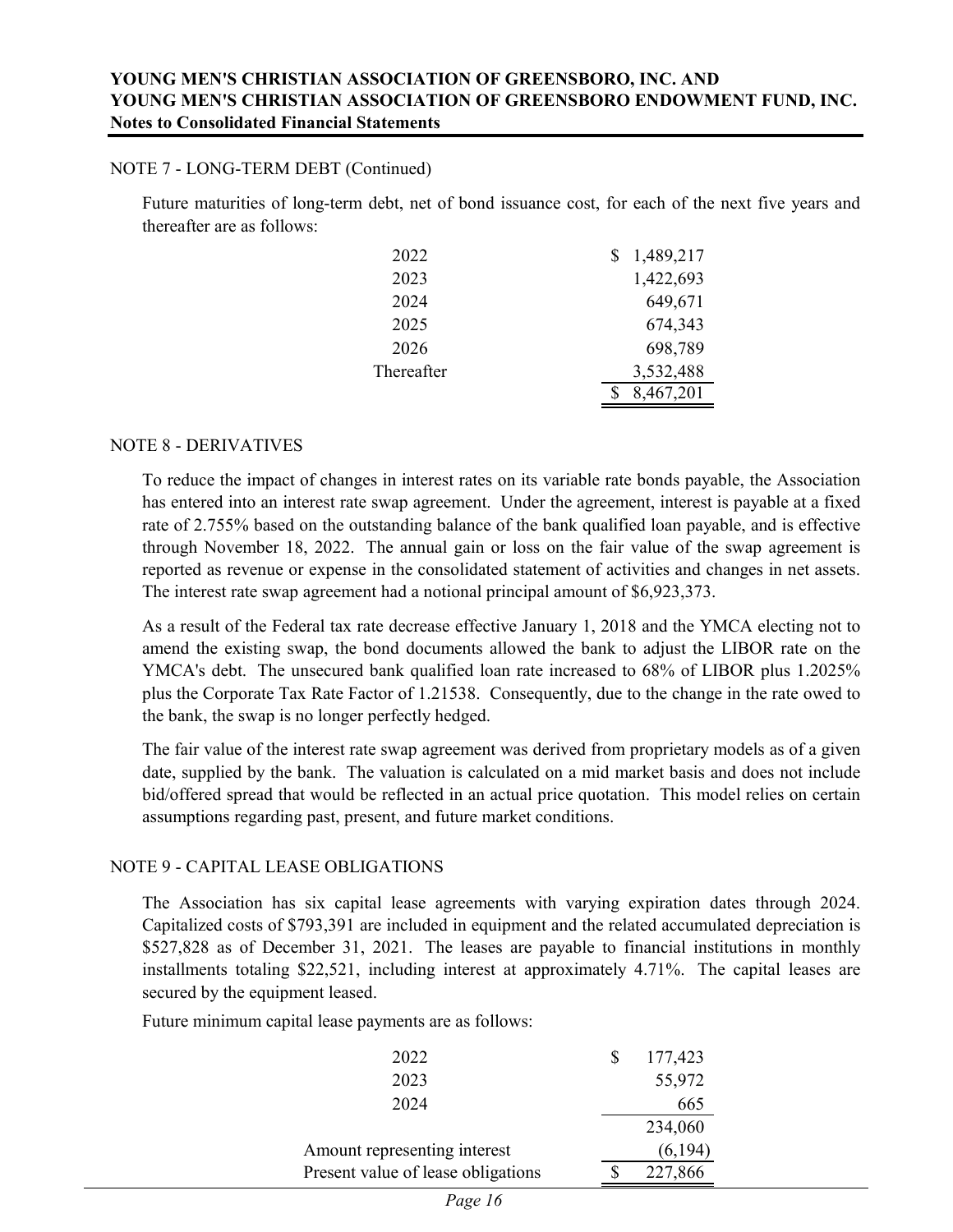#### NOTE 7 - LONG-TERM DEBT (Continued)

Future maturities of long-term debt, net of bond issuance cost, for each of the next five years and thereafter are as follows:

| 2022       | 1,489,217 |
|------------|-----------|
| 2023       | 1,422,693 |
| 2024       | 649,671   |
| 2025       | 674,343   |
| 2026       | 698,789   |
| Thereafter | 3,532,488 |
|            | 8,467,201 |

#### NOTE 8 - DERIVATIVES

To reduce the impact of changes in interest rates on its variable rate bonds payable, the Association has entered into an interest rate swap agreement. Under the agreement, interest is payable at a fixed rate of 2.755% based on the outstanding balance of the bank qualified loan payable, and is effective through November 18, 2022. The annual gain or loss on the fair value of the swap agreement is reported as revenue or expense in the consolidated statement of activities and changes in net assets. The interest rate swap agreement had a notional principal amount of \$6,923,373.

As a result of the Federal tax rate decrease effective January 1, 2018 and the YMCA electing not to amend the existing swap, the bond documents allowed the bank to adjust the LIBOR rate on the YMCA's debt. The unsecured bank qualified loan rate increased to 68% of LIBOR plus 1.2025% plus the Corporate Tax Rate Factor of 1.21538. Consequently, due to the change in the rate owed to the bank, the swap is no longer perfectly hedged.

The fair value of the interest rate swap agreement was derived from proprietary models as of a given date, supplied by the bank. The valuation is calculated on a mid market basis and does not include bid/offered spread that would be reflected in an actual price quotation. This model relies on certain assumptions regarding past, present, and future market conditions.

#### NOTE 9 - CAPITAL LEASE OBLIGATIONS

The Association has six capital lease agreements with varying expiration dates through 2024. Capitalized costs of \$793,391 are included in equipment and the related accumulated depreciation is \$527,828 as of December 31, 2021. The leases are payable to financial institutions in monthly installments totaling \$22,521, including interest at approximately 4.71%. The capital leases are secured by the equipment leased.

Future minimum capital lease payments are as follows:

| 2022                               | 177,423 |
|------------------------------------|---------|
| 2023                               | 55,972  |
| 2024                               | 665     |
|                                    | 234,060 |
| Amount representing interest       | (6,194) |
| Present value of lease obligations | 227,866 |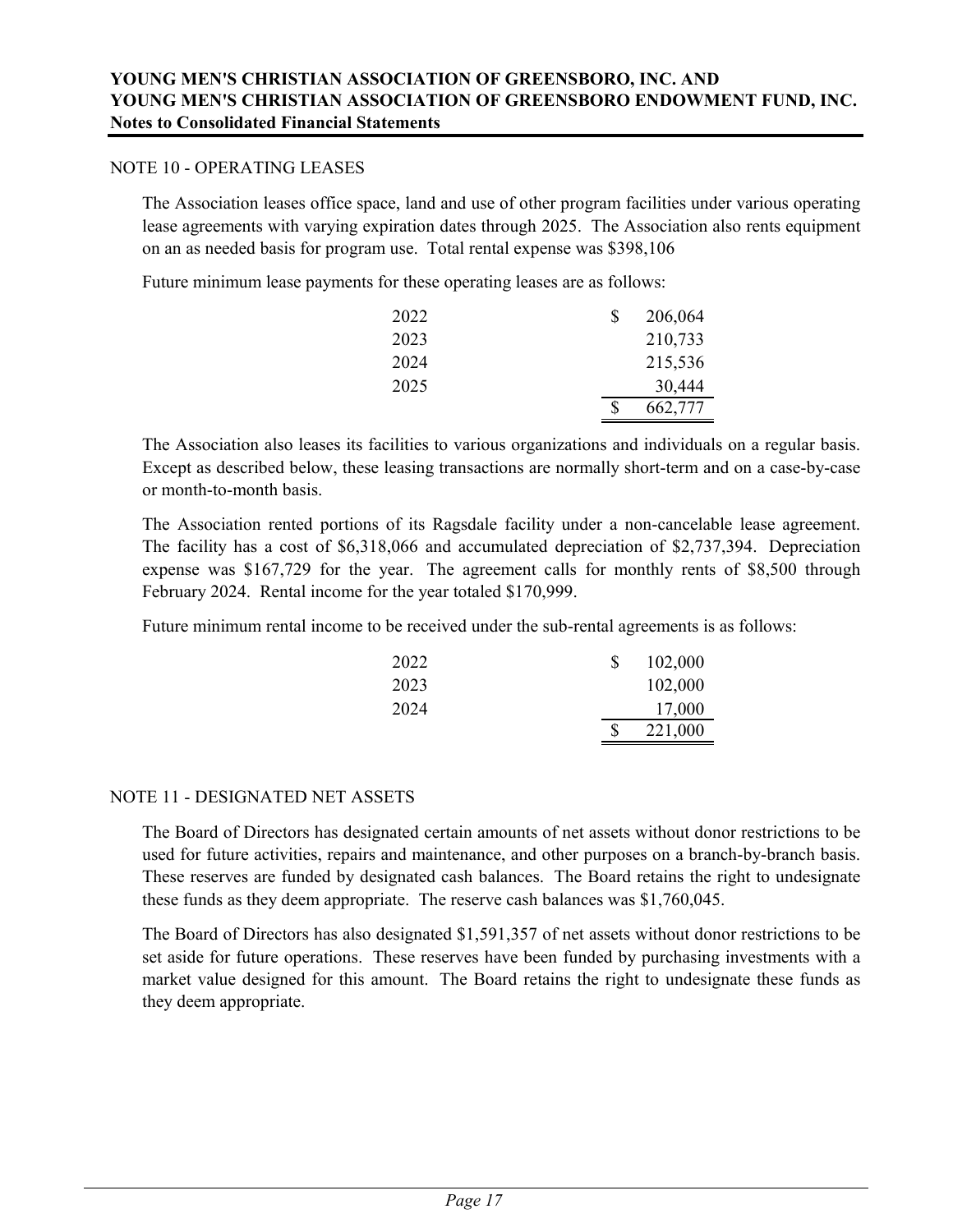#### NOTE 10 - OPERATING LEASES

The Association leases office space, land and use of other program facilities under various operating lease agreements with varying expiration dates through 2025. The Association also rents equipment on an as needed basis for program use. Total rental expense was \$398,106

Future minimum lease payments for these operating leases are as follows:

| 2022 | 206,064 |
|------|---------|
| 2023 | 210,733 |
| 2024 | 215,536 |
| 2025 | 30,444  |
|      | 662,777 |

The Association also leases its facilities to various organizations and individuals on a regular basis. Except as described below, these leasing transactions are normally short-term and on a case-by-case or month-to-month basis.

The Association rented portions of its Ragsdale facility under a non-cancelable lease agreement. The facility has a cost of \$6,318,066 and accumulated depreciation of \$2,737,394. Depreciation expense was \$167,729 for the year. The agreement calls for monthly rents of \$8,500 through February 2024. Rental income for the year totaled \$170,999.

Future minimum rental income to be received under the sub-rental agreements is as follows:

| 2022 | S | 102,000 |
|------|---|---------|
| 2023 |   | 102,000 |
| 2024 |   | 17,000  |
|      | S | 221,000 |

#### NOTE 11 - DESIGNATED NET ASSETS

The Board of Directors has designated certain amounts of net assets without donor restrictions to be used for future activities, repairs and maintenance, and other purposes on a branch-by-branch basis. These reserves are funded by designated cash balances. The Board retains the right to undesignate these funds as they deem appropriate. The reserve cash balances was \$1,760,045.

The Board of Directors has also designated \$1,591,357 of net assets without donor restrictions to be set aside for future operations. These reserves have been funded by purchasing investments with a market value designed for this amount. The Board retains the right to undesignate these funds as they deem appropriate.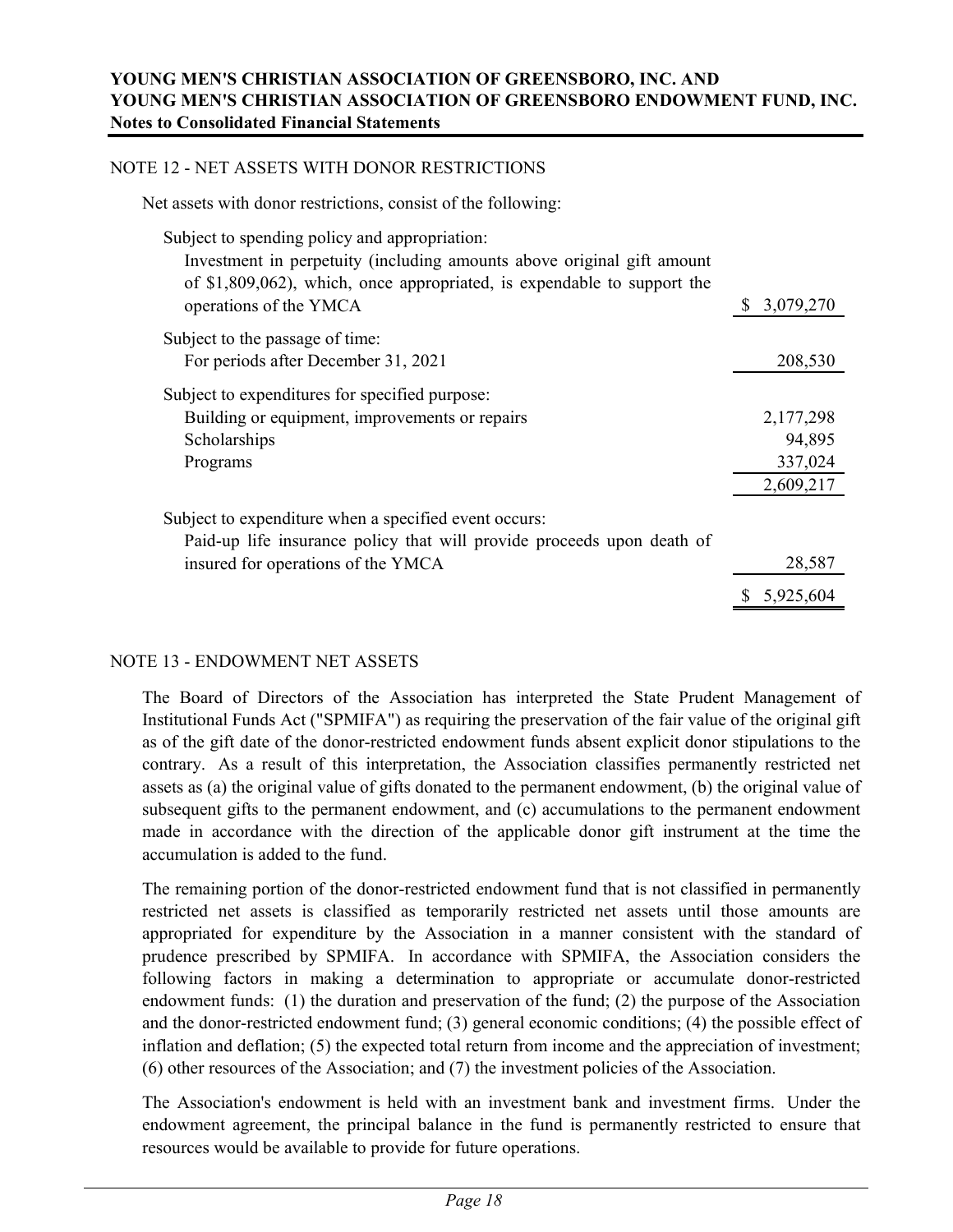#### NOTE 12 - NET ASSETS WITH DONOR RESTRICTIONS

Net assets with donor restrictions, consist of the following:

| Investment in perpetuity (including amounts above original gift amount<br>of $$1,809,062$ , which, once appropriated, is expendable to support the<br>3,079,270<br>operations of the YMCA<br>Subject to the passage of time:<br>For periods after December 31, 2021<br>208,530<br>Subject to expenditures for specified purpose:<br>Building or equipment, improvements or repairs<br>2,177,298<br>94,895<br>Scholarships<br>337,024<br>Programs<br>2,609,217<br>Subject to expenditure when a specified event occurs:<br>Paid-up life insurance policy that will provide proceeds upon death of | Subject to spending policy and appropriation: |        |
|--------------------------------------------------------------------------------------------------------------------------------------------------------------------------------------------------------------------------------------------------------------------------------------------------------------------------------------------------------------------------------------------------------------------------------------------------------------------------------------------------------------------------------------------------------------------------------------------------|-----------------------------------------------|--------|
|                                                                                                                                                                                                                                                                                                                                                                                                                                                                                                                                                                                                  |                                               |        |
|                                                                                                                                                                                                                                                                                                                                                                                                                                                                                                                                                                                                  |                                               |        |
|                                                                                                                                                                                                                                                                                                                                                                                                                                                                                                                                                                                                  |                                               |        |
|                                                                                                                                                                                                                                                                                                                                                                                                                                                                                                                                                                                                  |                                               |        |
|                                                                                                                                                                                                                                                                                                                                                                                                                                                                                                                                                                                                  |                                               |        |
|                                                                                                                                                                                                                                                                                                                                                                                                                                                                                                                                                                                                  |                                               |        |
|                                                                                                                                                                                                                                                                                                                                                                                                                                                                                                                                                                                                  |                                               |        |
|                                                                                                                                                                                                                                                                                                                                                                                                                                                                                                                                                                                                  |                                               |        |
|                                                                                                                                                                                                                                                                                                                                                                                                                                                                                                                                                                                                  |                                               |        |
|                                                                                                                                                                                                                                                                                                                                                                                                                                                                                                                                                                                                  |                                               |        |
|                                                                                                                                                                                                                                                                                                                                                                                                                                                                                                                                                                                                  |                                               |        |
|                                                                                                                                                                                                                                                                                                                                                                                                                                                                                                                                                                                                  |                                               |        |
|                                                                                                                                                                                                                                                                                                                                                                                                                                                                                                                                                                                                  | insured for operations of the YMCA            | 28,587 |
| 5,925,604                                                                                                                                                                                                                                                                                                                                                                                                                                                                                                                                                                                        |                                               |        |

#### NOTE 13 - ENDOWMENT NET ASSETS

The Board of Directors of the Association has interpreted the State Prudent Management of Institutional Funds Act ("SPMIFA") as requiring the preservation of the fair value of the original gift as of the gift date of the donor-restricted endowment funds absent explicit donor stipulations to the contrary. As a result of this interpretation, the Association classifies permanently restricted net assets as (a) the original value of gifts donated to the permanent endowment, (b) the original value of subsequent gifts to the permanent endowment, and (c) accumulations to the permanent endowment made in accordance with the direction of the applicable donor gift instrument at the time the accumulation is added to the fund.

The remaining portion of the donor-restricted endowment fund that is not classified in permanently restricted net assets is classified as temporarily restricted net assets until those amounts are appropriated for expenditure by the Association in a manner consistent with the standard of prudence prescribed by SPMIFA. In accordance with SPMIFA, the Association considers the following factors in making a determination to appropriate or accumulate donor-restricted endowment funds: (1) the duration and preservation of the fund; (2) the purpose of the Association and the donor-restricted endowment fund; (3) general economic conditions; (4) the possible effect of inflation and deflation; (5) the expected total return from income and the appreciation of investment; (6) other resources of the Association; and (7) the investment policies of the Association.

The Association's endowment is held with an investment bank and investment firms. Under the endowment agreement, the principal balance in the fund is permanently restricted to ensure that resources would be available to provide for future operations.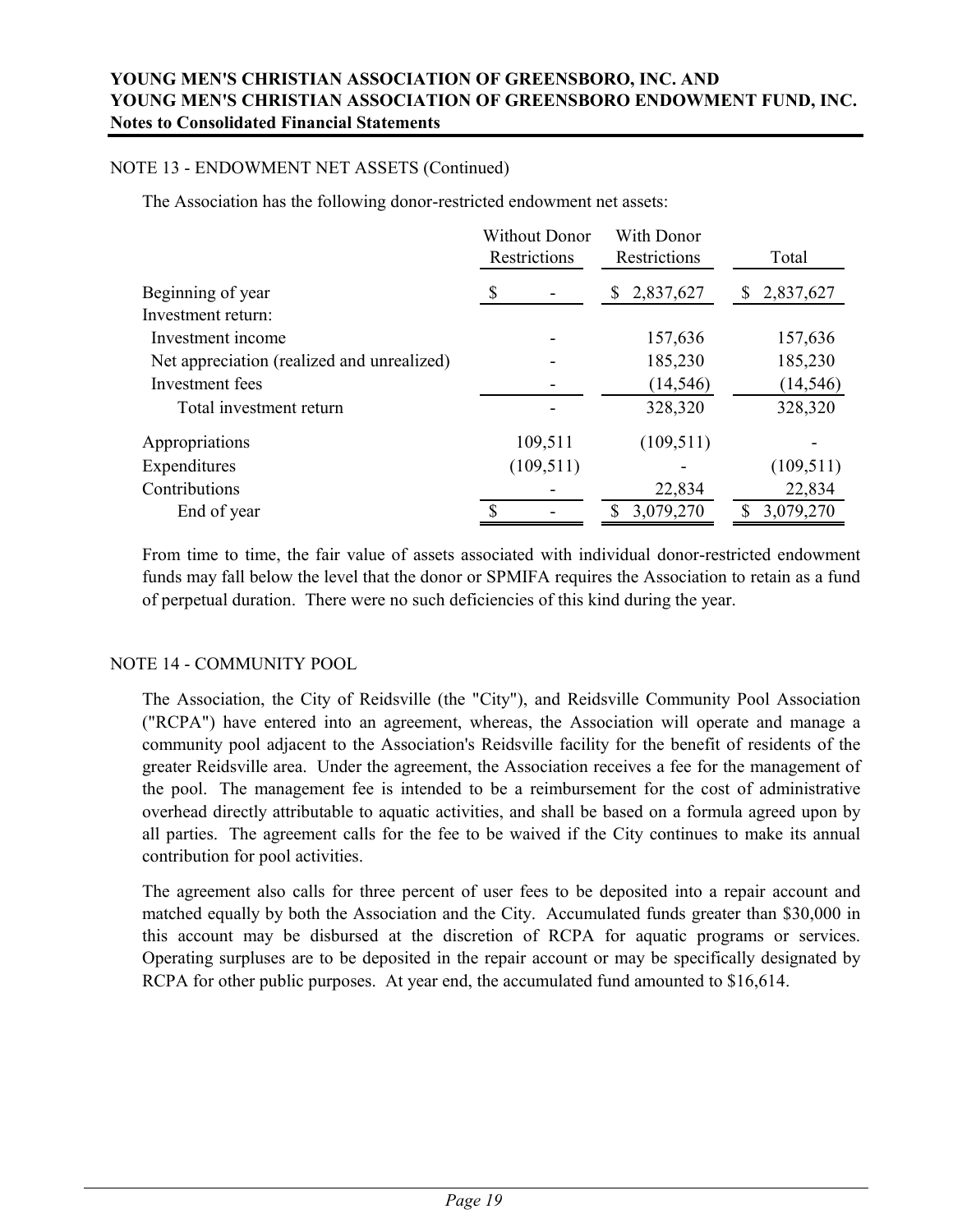#### NOTE 13 - ENDOWMENT NET ASSETS (Continued)

The Association has the following donor-restricted endowment net assets:

|                                            | <b>Without Donor</b><br>Restrictions | With Donor<br>Restrictions | Total          |
|--------------------------------------------|--------------------------------------|----------------------------|----------------|
| Beginning of year                          | S                                    | 2,837,627<br>S.            | 2,837,627<br>S |
| Investment return:                         |                                      |                            |                |
| Investment income                          |                                      | 157,636                    | 157,636        |
| Net appreciation (realized and unrealized) |                                      | 185,230                    | 185,230        |
| Investment fees                            |                                      | (14, 546)                  | (14, 546)      |
| Total investment return                    |                                      | 328,320                    | 328,320        |
| Appropriations                             | 109,511                              | (109, 511)                 |                |
| Expenditures                               | (109, 511)                           |                            | (109, 511)     |
| Contributions                              |                                      | 22,834                     | 22,834         |
| End of year                                |                                      | 3,079,270<br>S.            | 3,079,270      |

From time to time, the fair value of assets associated with individual donor-restricted endowment funds may fall below the level that the donor or SPMIFA requires the Association to retain as a fund of perpetual duration. There were no such deficiencies of this kind during the year.

#### NOTE 14 - COMMUNITY POOL

The Association, the City of Reidsville (the "City"), and Reidsville Community Pool Association ("RCPA") have entered into an agreement, whereas, the Association will operate and manage a community pool adjacent to the Association's Reidsville facility for the benefit of residents of the greater Reidsville area. Under the agreement, the Association receives a fee for the management of the pool. The management fee is intended to be a reimbursement for the cost of administrative overhead directly attributable to aquatic activities, and shall be based on a formula agreed upon by all parties. The agreement calls for the fee to be waived if the City continues to make its annual contribution for pool activities.

The agreement also calls for three percent of user fees to be deposited into a repair account and matched equally by both the Association and the City. Accumulated funds greater than \$30,000 in this account may be disbursed at the discretion of RCPA for aquatic programs or services. Operating surpluses are to be deposited in the repair account or may be specifically designated by RCPA for other public purposes. At year end, the accumulated fund amounted to \$16,614.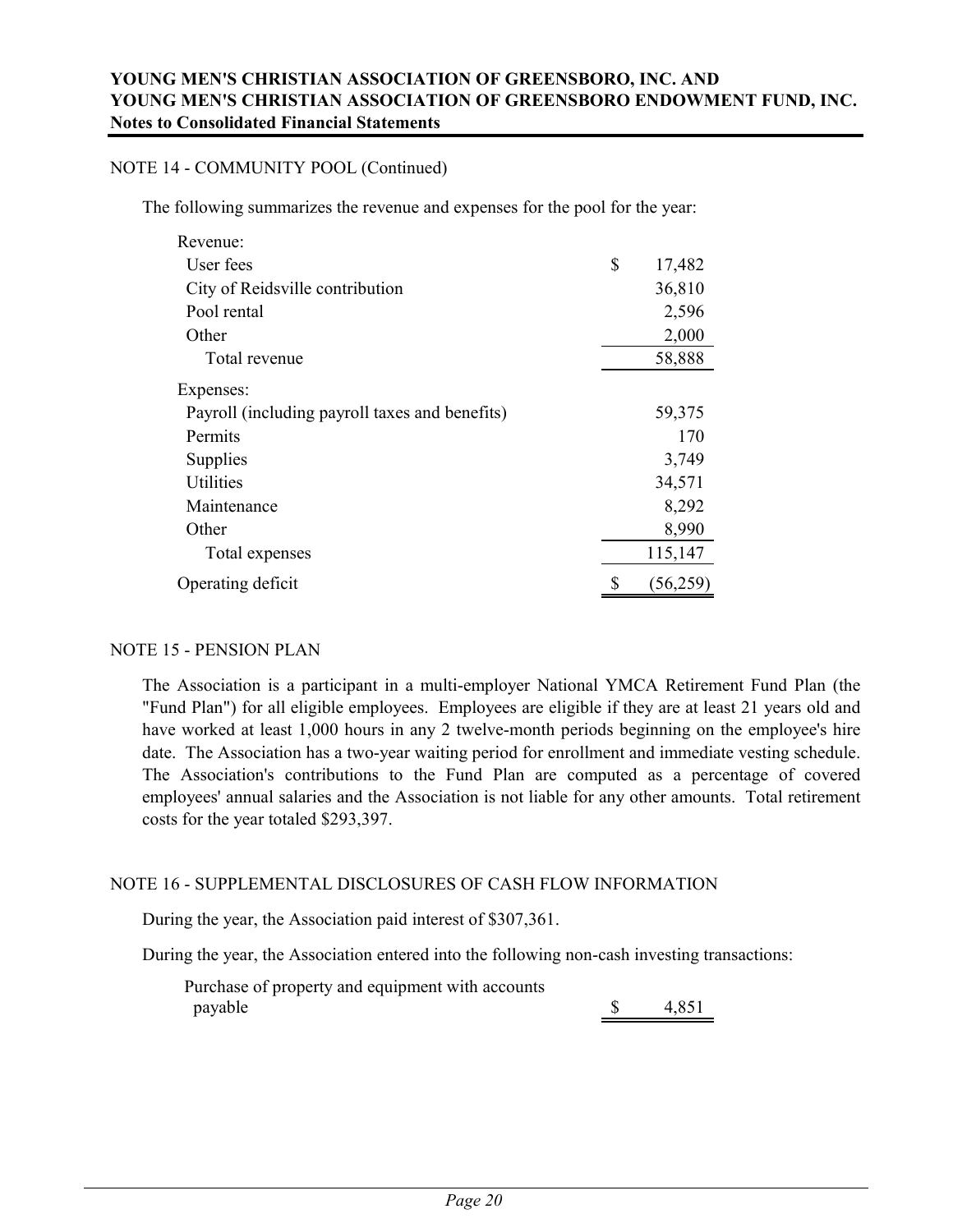#### NOTE 14 - COMMUNITY POOL (Continued)

The following summarizes the revenue and expenses for the pool for the year:

| Revenue:                                       |              |
|------------------------------------------------|--------------|
| User fees                                      | \$<br>17,482 |
| City of Reidsville contribution                | 36,810       |
| Pool rental                                    | 2,596        |
| Other                                          | 2,000        |
| Total revenue                                  | 58,888       |
| Expenses:                                      |              |
| Payroll (including payroll taxes and benefits) | 59,375       |
| Permits                                        | 170          |
| Supplies                                       | 3,749        |
| Utilities                                      | 34,571       |
| Maintenance                                    | 8,292        |
| Other                                          | 8,990        |
| Total expenses                                 | 115,147      |
| Operating deficit                              | (56,259)     |

#### NOTE 15 - PENSION PLAN

The Association is a participant in a multi-employer National YMCA Retirement Fund Plan (the "Fund Plan") for all eligible employees. Employees are eligible if they are at least 21 years old and have worked at least 1,000 hours in any 2 twelve-month periods beginning on the employee's hire date. The Association has a two-year waiting period for enrollment and immediate vesting schedule. The Association's contributions to the Fund Plan are computed as a percentage of covered employees' annual salaries and the Association is not liable for any other amounts. Total retirement costs for the year totaled \$293,397.

#### NOTE 16 - SUPPLEMENTAL DISCLOSURES OF CASH FLOW INFORMATION

During the year, the Association paid interest of \$307,361.

During the year, the Association entered into the following non-cash investing transactions:

Purchase of property and equipment with accounts  $p$ ayable  $\qquad \qquad$  4,851